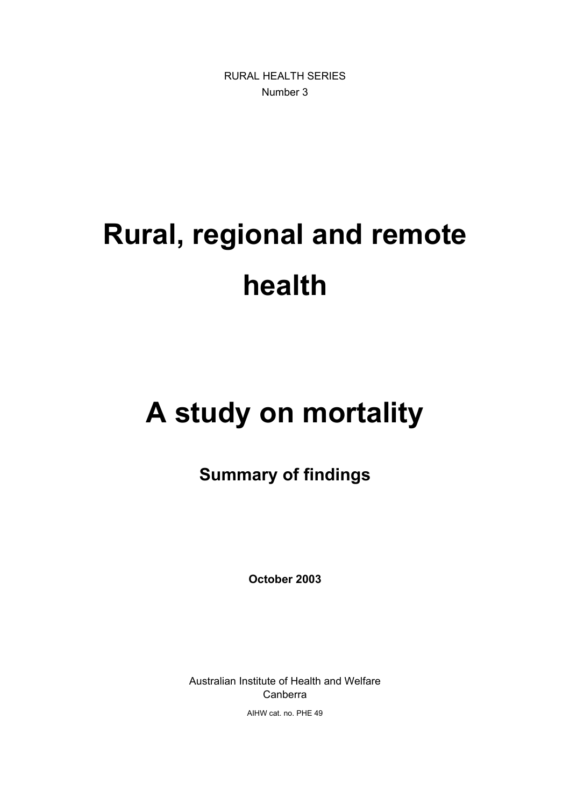RURAL HEALTH SERIES Number 3

# **Rural, regional and remote health**

## **A study on mortality**

## **Summary of findings**

**October 2003**

Australian Institute of Health and Welfare Canberra

AIHW cat. no. PHE 49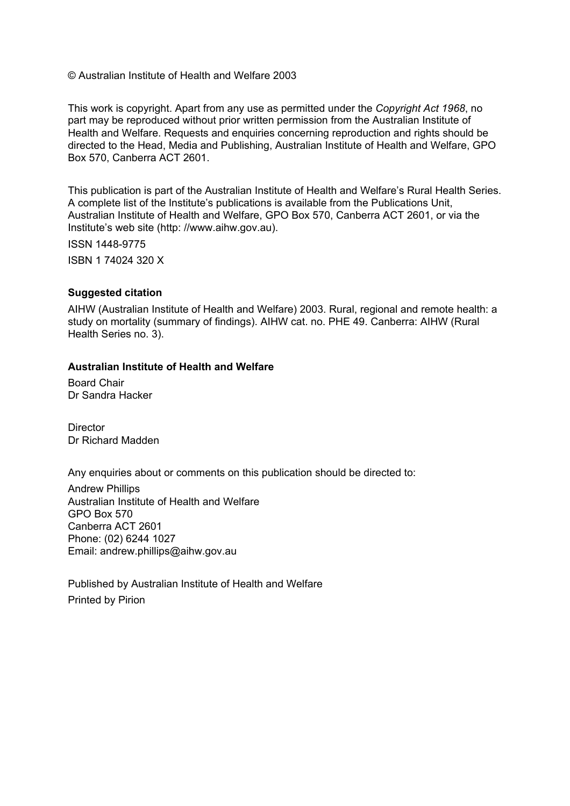© Australian Institute of Health and Welfare 2003

This work is copyright. Apart from any use as permitted under the *Copyright Act 1968*, no part may be reproduced without prior written permission from the Australian Institute of Health and Welfare. Requests and enquiries concerning reproduction and rights should be directed to the Head, Media and Publishing, Australian Institute of Health and Welfare, GPO Box 570, Canberra ACT 2601.

This publication is part of the Australian Institute of Health and Welfare's Rural Health Series. A complete list of the Institute's publications is available from the Publications Unit, Australian Institute of Health and Welfare, GPO Box 570, Canberra ACT 2601, or via the Institute's web site (http: //www.aihw.gov.au).

ISSN 1448-9775

ISBN 1 74024 320 X

#### **Suggested citation**

AIHW (Australian Institute of Health and Welfare) 2003. Rural, regional and remote health: a study on mortality (summary of findings). AIHW cat. no. PHE 49. Canberra: AIHW (Rural Health Series no. 3).

#### **Australian Institute of Health and Welfare**

Board Chair Dr Sandra Hacker

**Director** Dr Richard Madden

Any enquiries about or comments on this publication should be directed to:

Andrew Phillips Australian Institute of Health and Welfare GPO Box 570 Canberra ACT 2601 Phone: (02) 6244 1027 Email: andrew.phillips@aihw.gov.au

Published by Australian Institute of Health and Welfare Printed by Pirion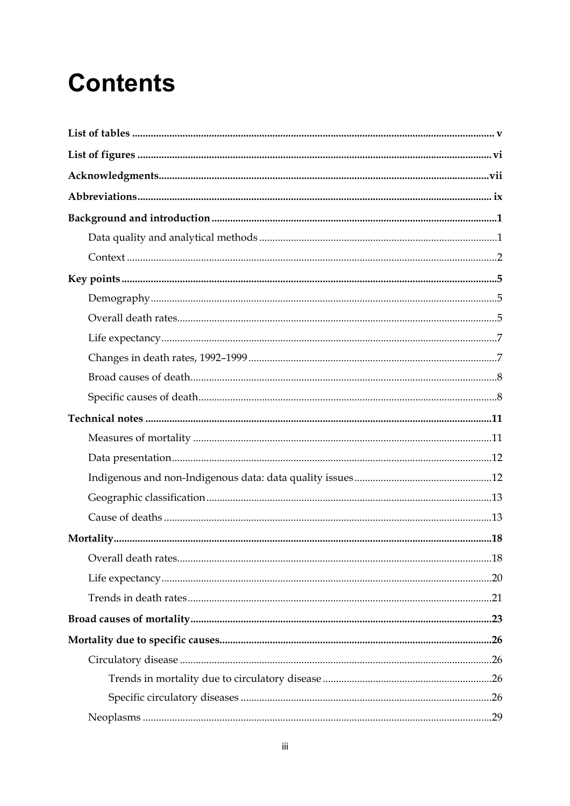## **Contents**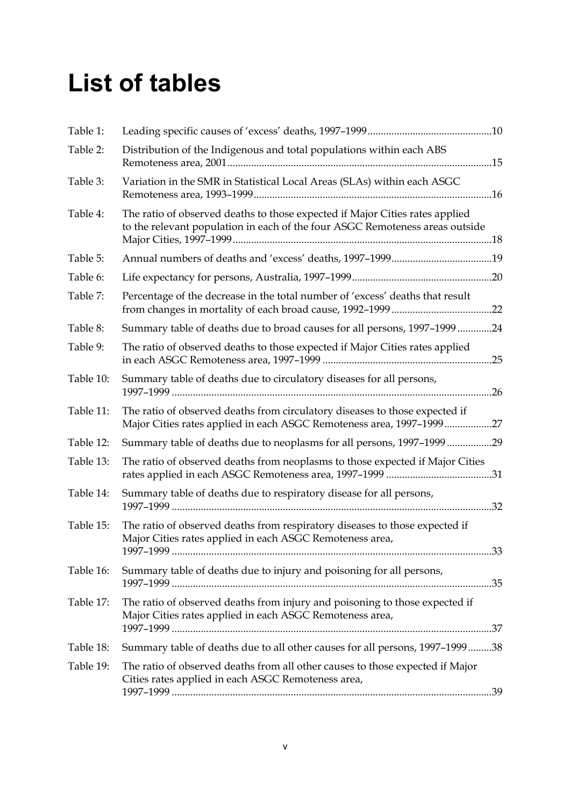## **List of tables**

| Table 1:  |                                                                                                                                                              |  |
|-----------|--------------------------------------------------------------------------------------------------------------------------------------------------------------|--|
| Table 2:  | Distribution of the Indigenous and total populations within each ABS                                                                                         |  |
| Table 3:  | Variation in the SMR in Statistical Local Areas (SLAs) within each ASGC                                                                                      |  |
| Table 4:  | The ratio of observed deaths to those expected if Major Cities rates applied<br>to the relevant population in each of the four ASGC Remoteness areas outside |  |
| Table 5:  |                                                                                                                                                              |  |
| Table 6:  |                                                                                                                                                              |  |
| Table 7:  | Percentage of the decrease in the total number of 'excess' deaths that result                                                                                |  |
| Table 8:  | Summary table of deaths due to broad causes for all persons, 1997-1999 24                                                                                    |  |
| Table 9:  | The ratio of observed deaths to those expected if Major Cities rates applied                                                                                 |  |
| Table 10: | Summary table of deaths due to circulatory diseases for all persons,                                                                                         |  |
| Table 11: | The ratio of observed deaths from circulatory diseases to those expected if<br>Major Cities rates applied in each ASGC Remoteness area, 1997-199927          |  |
| Table 12: | Summary table of deaths due to neoplasms for all persons, 1997-1999 29                                                                                       |  |
| Table 13: | The ratio of observed deaths from neoplasms to those expected if Major Cities                                                                                |  |
| Table 14: | Summary table of deaths due to respiratory disease for all persons,                                                                                          |  |
| Table 15: | The ratio of observed deaths from respiratory diseases to those expected if<br>Major Cities rates applied in each ASGC Remoteness area,                      |  |
| Table 16: | Summary table of deaths due to injury and poisoning for all persons,                                                                                         |  |
| Table 17: | The ratio of observed deaths from injury and poisoning to those expected if<br>Major Cities rates applied in each ASGC Remoteness area,                      |  |
| Table 18: | Summary table of deaths due to all other causes for all persons, 1997-199938                                                                                 |  |
| Table 19: | The ratio of observed deaths from all other causes to those expected if Major<br>Cities rates applied in each ASGC Remoteness area,                          |  |
|           |                                                                                                                                                              |  |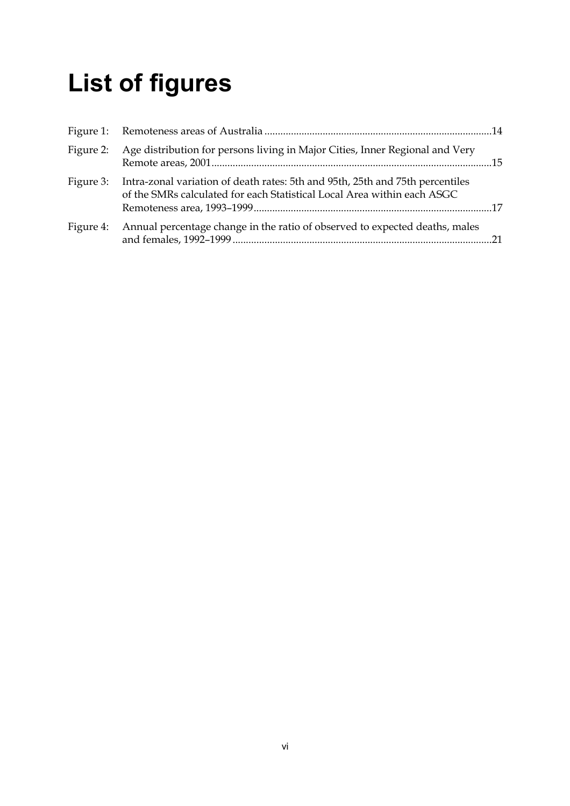## **List of figures**

| Figure 2: | Age distribution for persons living in Major Cities, Inner Regional and Very                                                                             |  |
|-----------|----------------------------------------------------------------------------------------------------------------------------------------------------------|--|
| Figure 3: | Intra-zonal variation of death rates: 5th and 95th, 25th and 75th percentiles<br>of the SMRs calculated for each Statistical Local Area within each ASGC |  |
| Figure 4: | Annual percentage change in the ratio of observed to expected deaths, males                                                                              |  |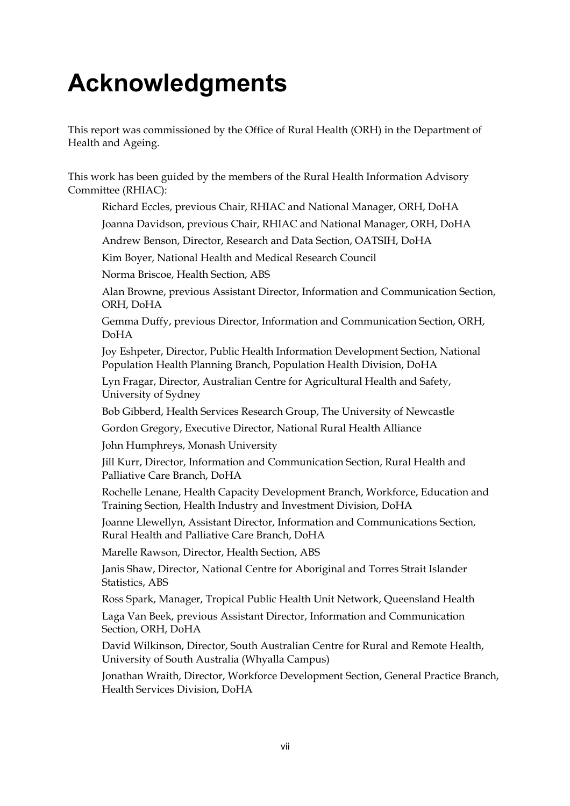## **Acknowledgments**

This report was commissioned by the Office of Rural Health (ORH) in the Department of Health and Ageing.

This work has been guided by the members of the Rural Health Information Advisory Committee (RHIAC):

Richard Eccles, previous Chair, RHIAC and National Manager, ORH, DoHA

Joanna Davidson, previous Chair, RHIAC and National Manager, ORH, DoHA

Andrew Benson, Director, Research and Data Section, OATSIH, DoHA

Kim Boyer, National Health and Medical Research Council

Norma Briscoe, Health Section, ABS

Alan Browne, previous Assistant Director, Information and Communication Section, ORH, DoHA

Gemma Duffy, previous Director, Information and Communication Section, ORH, DoHA

Joy Eshpeter, Director, Public Health Information Development Section, National Population Health Planning Branch, Population Health Division, DoHA

Lyn Fragar, Director, Australian Centre for Agricultural Health and Safety, University of Sydney

Bob Gibberd, Health Services Research Group, The University of Newcastle

Gordon Gregory, Executive Director, National Rural Health Alliance

John Humphreys, Monash University

Jill Kurr, Director, Information and Communication Section, Rural Health and Palliative Care Branch, DoHA

Rochelle Lenane, Health Capacity Development Branch, Workforce, Education and Training Section, Health Industry and Investment Division, DoHA

Joanne Llewellyn, Assistant Director, Information and Communications Section, Rural Health and Palliative Care Branch, DoHA

Marelle Rawson, Director, Health Section, ABS

Janis Shaw, Director, National Centre for Aboriginal and Torres Strait Islander Statistics, ABS

Ross Spark, Manager, Tropical Public Health Unit Network, Queensland Health

Laga Van Beek, previous Assistant Director, Information and Communication Section, ORH, DoHA

David Wilkinson, Director, South Australian Centre for Rural and Remote Health, University of South Australia (Whyalla Campus)

Jonathan Wraith, Director, Workforce Development Section, General Practice Branch, Health Services Division, DoHA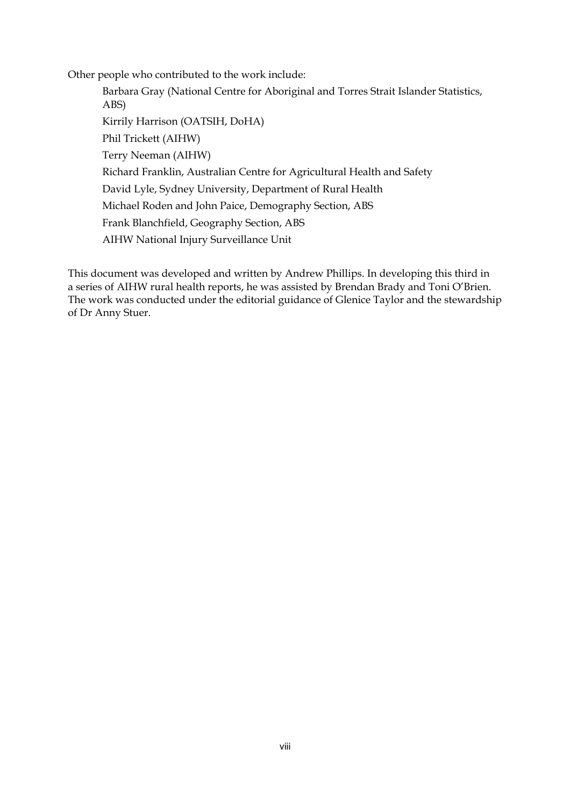Other people who contributed to the work include:

Barbara Gray (National Centre for Aboriginal and Torres Strait Islander Statistics, ABS) Kirrily Harrison (OATSIH, DoHA) Phil Trickett (AIHW) Terry Neeman (AIHW) Richard Franklin, Australian Centre for Agricultural Health and Safety David Lyle, Sydney University, Department of Rural Health Michael Roden and John Paice, Demography Section, ABS Frank Blanchfield, Geography Section, ABS AIHW National Injury Surveillance Unit

This document was developed and written by Andrew Phillips. In developing this third in a series of AIHW rural health reports, he was assisted by Brendan Brady and Toni O'Brien. The work was conducted under the editorial guidance of Glenice Taylor and the stewardship of Dr Anny Stuer.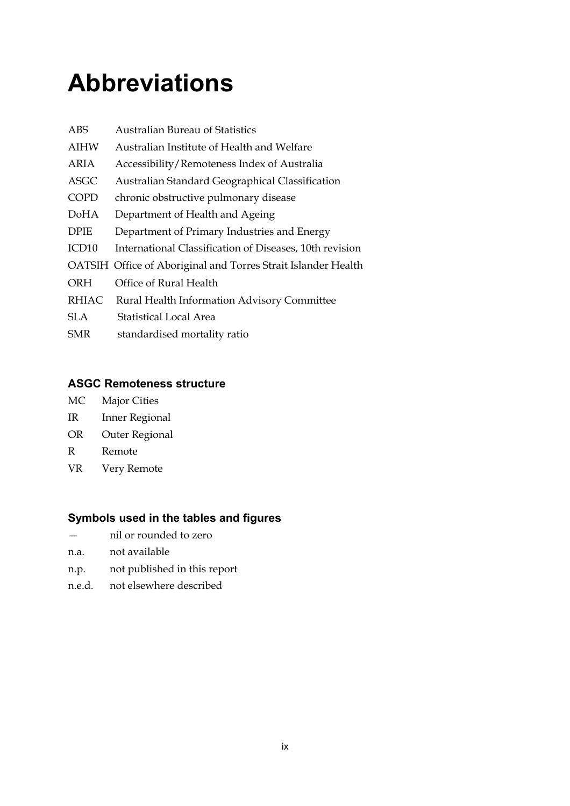## **Abbreviations**

| <b>ABS</b>        | <b>Australian Bureau of Statistics</b>                        |
|-------------------|---------------------------------------------------------------|
| <b>AIHW</b>       | Australian Institute of Health and Welfare                    |
| ARIA              | Accessibility/Remoteness Index of Australia                   |
| <b>ASGC</b>       | Australian Standard Geographical Classification               |
| <b>COPD</b>       | chronic obstructive pulmonary disease                         |
| DoHA              | Department of Health and Ageing                               |
| <b>DPIE</b>       | Department of Primary Industries and Energy                   |
| ICD <sub>10</sub> | International Classification of Diseases, 10th revision       |
|                   | OATSIH Office of Aboriginal and Torres Strait Islander Health |
| ORH               | Office of Rural Health                                        |
| <b>RHIAC</b>      | Rural Health Information Advisory Committee                   |
| SLA.              | Statistical Local Area                                        |
| SMR               | standardised mortality ratio                                  |
|                   |                                                               |

#### **ASGC Remoteness structure**

- MC Major Cities
- IR Inner Regional
- OR Outer Regional
- R Remote
- VR Very Remote

#### **Symbols used in the tables and figures**

- nil or rounded to zero
- n.a. not available
- n.p. not published in this report
- n.e.d. not elsewhere described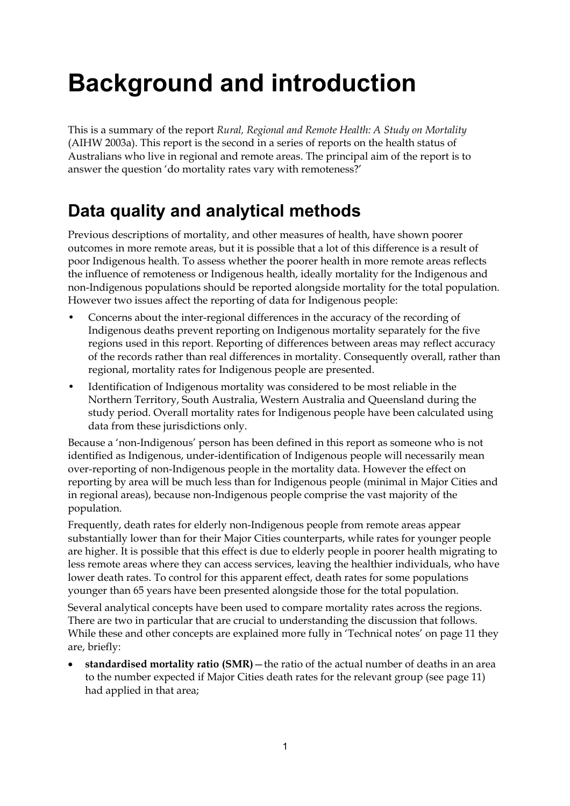## **Background and introduction**

This is a summary of the report *Rural, Regional and Remote Health: A Study on Mortality* (AIHW 2003a). This report is the second in a series of reports on the health status of Australians who live in regional and remote areas. The principal aim of the report is to answer the question 'do mortality rates vary with remoteness?'

## **Data quality and analytical methods**

Previous descriptions of mortality, and other measures of health, have shown poorer outcomes in more remote areas, but it is possible that a lot of this difference is a result of poor Indigenous health. To assess whether the poorer health in more remote areas reflects the influence of remoteness or Indigenous health, ideally mortality for the Indigenous and non-Indigenous populations should be reported alongside mortality for the total population. However two issues affect the reporting of data for Indigenous people:

- Concerns about the inter-regional differences in the accuracy of the recording of Indigenous deaths prevent reporting on Indigenous mortality separately for the five regions used in this report. Reporting of differences between areas may reflect accuracy of the records rather than real differences in mortality. Consequently overall, rather than regional, mortality rates for Indigenous people are presented.
- Identification of Indigenous mortality was considered to be most reliable in the Northern Territory, South Australia, Western Australia and Queensland during the study period. Overall mortality rates for Indigenous people have been calculated using data from these jurisdictions only.

Because a 'non-Indigenous' person has been defined in this report as someone who is not identified as Indigenous, under-identification of Indigenous people will necessarily mean over-reporting of non-Indigenous people in the mortality data. However the effect on reporting by area will be much less than for Indigenous people (minimal in Major Cities and in regional areas), because non-Indigenous people comprise the vast majority of the population.

Frequently, death rates for elderly non-Indigenous people from remote areas appear substantially lower than for their Major Cities counterparts, while rates for younger people are higher. It is possible that this effect is due to elderly people in poorer health migrating to less remote areas where they can access services, leaving the healthier individuals, who have lower death rates. To control for this apparent effect, death rates for some populations younger than 65 years have been presented alongside those for the total population.

Several analytical concepts have been used to compare mortality rates across the regions. There are two in particular that are crucial to understanding the discussion that follows. While these and other concepts are explained more fully in 'Technical notes' on page 11 they are, briefly:

 **standardised mortality ratio (SMR)**—the ratio of the actual number of deaths in an area to the number expected if Major Cities death rates for the relevant group (see page 11) had applied in that area;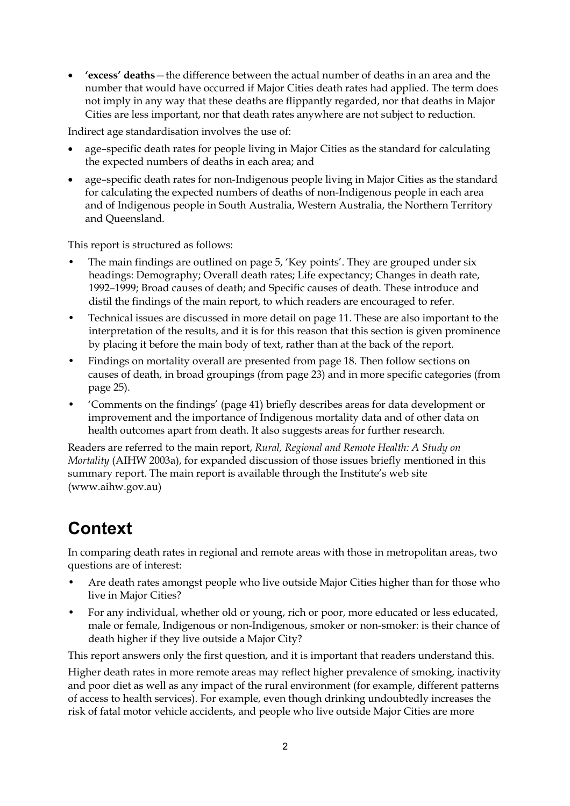**'excess' deaths**—the difference between the actual number of deaths in an area and the number that would have occurred if Major Cities death rates had applied. The term does not imply in any way that these deaths are flippantly regarded, nor that deaths in Major Cities are less important, nor that death rates anywhere are not subject to reduction.

Indirect age standardisation involves the use of:

- age–specific death rates for people living in Major Cities as the standard for calculating the expected numbers of deaths in each area; and
- age–specific death rates for non-Indigenous people living in Major Cities as the standard for calculating the expected numbers of deaths of non-Indigenous people in each area and of Indigenous people in South Australia, Western Australia, the Northern Territory and Queensland.

This report is structured as follows:

- The main findings are outlined on page 5, 'Key points'. They are grouped under six headings: Demography; Overall death rates; Life expectancy; Changes in death rate, 1992–1999; Broad causes of death; and Specific causes of death. These introduce and distil the findings of the main report, to which readers are encouraged to refer.
- Technical issues are discussed in more detail on page 11. These are also important to the interpretation of the results, and it is for this reason that this section is given prominence by placing it before the main body of text, rather than at the back of the report.
- Findings on mortality overall are presented from page 18. Then follow sections on causes of death, in broad groupings (from page 23) and in more specific categories (from page 25).
- 'Comments on the findings' (page 41) briefly describes areas for data development or improvement and the importance of Indigenous mortality data and of other data on health outcomes apart from death. It also suggests areas for further research.

Readers are referred to the main report, *Rural, Regional and Remote Health: A Study on Mortality* (AIHW 2003a), for expanded discussion of those issues briefly mentioned in this summary report. The main report is available through the Institute's web site (www.aihw.gov.au)

### **Context**

In comparing death rates in regional and remote areas with those in metropolitan areas, two questions are of interest:

- Are death rates amongst people who live outside Major Cities higher than for those who live in Major Cities?
- For any individual, whether old or young, rich or poor, more educated or less educated, male or female, Indigenous or non-Indigenous, smoker or non-smoker: is their chance of death higher if they live outside a Major City?

This report answers only the first question, and it is important that readers understand this.

Higher death rates in more remote areas may reflect higher prevalence of smoking, inactivity and poor diet as well as any impact of the rural environment (for example, different patterns of access to health services). For example, even though drinking undoubtedly increases the risk of fatal motor vehicle accidents, and people who live outside Major Cities are more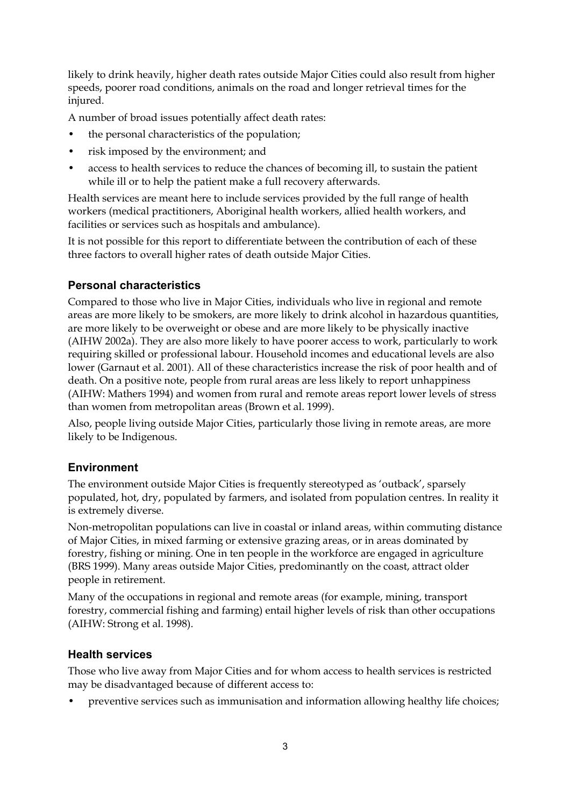likely to drink heavily, higher death rates outside Major Cities could also result from higher speeds, poorer road conditions, animals on the road and longer retrieval times for the injured.

A number of broad issues potentially affect death rates:

- the personal characteristics of the population;
- risk imposed by the environment; and
- access to health services to reduce the chances of becoming ill, to sustain the patient while ill or to help the patient make a full recovery afterwards.

Health services are meant here to include services provided by the full range of health workers (medical practitioners, Aboriginal health workers, allied health workers, and facilities or services such as hospitals and ambulance).

It is not possible for this report to differentiate between the contribution of each of these three factors to overall higher rates of death outside Major Cities.

#### **Personal characteristics**

Compared to those who live in Major Cities, individuals who live in regional and remote areas are more likely to be smokers, are more likely to drink alcohol in hazardous quantities, are more likely to be overweight or obese and are more likely to be physically inactive (AIHW 2002a). They are also more likely to have poorer access to work, particularly to work requiring skilled or professional labour. Household incomes and educational levels are also lower (Garnaut et al. 2001). All of these characteristics increase the risk of poor health and of death. On a positive note, people from rural areas are less likely to report unhappiness (AIHW: Mathers 1994) and women from rural and remote areas report lower levels of stress than women from metropolitan areas (Brown et al. 1999).

Also, people living outside Major Cities, particularly those living in remote areas, are more likely to be Indigenous.

#### **Environment**

The environment outside Major Cities is frequently stereotyped as 'outback', sparsely populated, hot, dry, populated by farmers, and isolated from population centres. In reality it is extremely diverse.

Non-metropolitan populations can live in coastal or inland areas, within commuting distance of Major Cities, in mixed farming or extensive grazing areas, or in areas dominated by forestry, fishing or mining. One in ten people in the workforce are engaged in agriculture (BRS 1999). Many areas outside Major Cities, predominantly on the coast, attract older people in retirement.

Many of the occupations in regional and remote areas (for example, mining, transport forestry, commercial fishing and farming) entail higher levels of risk than other occupations (AIHW: Strong et al. 1998).

#### **Health services**

Those who live away from Major Cities and for whom access to health services is restricted may be disadvantaged because of different access to:

• preventive services such as immunisation and information allowing healthy life choices;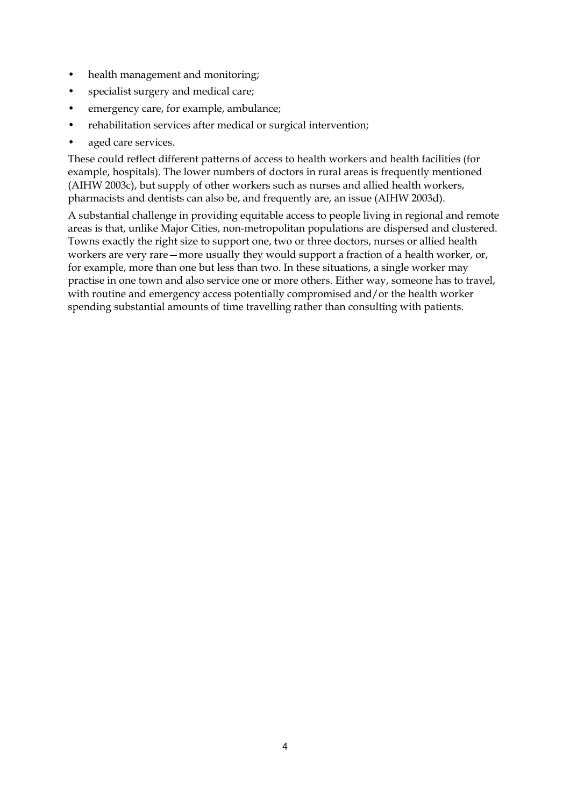- health management and monitoring;
- specialist surgery and medical care;
- emergency care, for example, ambulance;
- rehabilitation services after medical or surgical intervention;
- aged care services.

These could reflect different patterns of access to health workers and health facilities (for example, hospitals). The lower numbers of doctors in rural areas is frequently mentioned (AIHW 2003c), but supply of other workers such as nurses and allied health workers, pharmacists and dentists can also be, and frequently are, an issue (AIHW 2003d).

A substantial challenge in providing equitable access to people living in regional and remote areas is that, unlike Major Cities, non-metropolitan populations are dispersed and clustered. Towns exactly the right size to support one, two or three doctors, nurses or allied health workers are very rare—more usually they would support a fraction of a health worker, or, for example, more than one but less than two. In these situations, a single worker may practise in one town and also service one or more others. Either way, someone has to travel, with routine and emergency access potentially compromised and/or the health worker spending substantial amounts of time travelling rather than consulting with patients.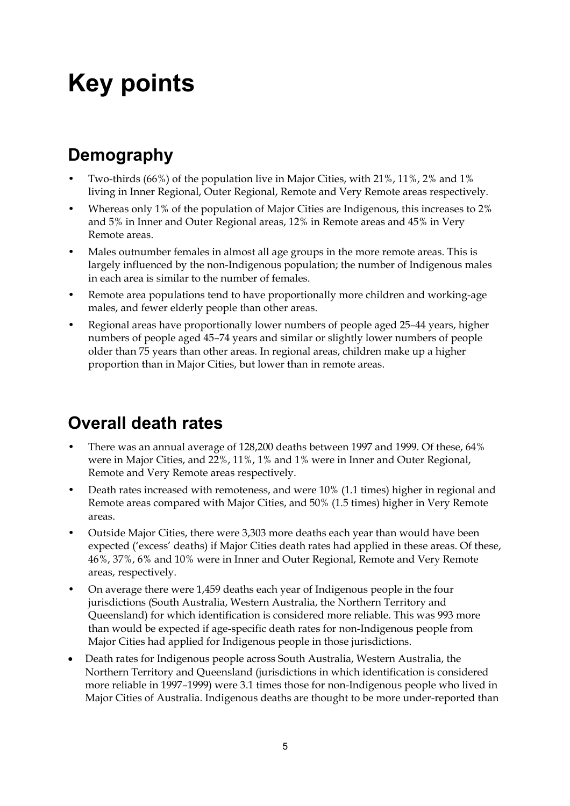## **Key points**

## **Demography**

- Two-thirds (66%) of the population live in Major Cities, with 21%, 11%, 2% and 1% living in Inner Regional, Outer Regional, Remote and Very Remote areas respectively.
- Whereas only 1% of the population of Major Cities are Indigenous, this increases to 2% and 5% in Inner and Outer Regional areas, 12% in Remote areas and 45% in Very Remote areas.
- Males outnumber females in almost all age groups in the more remote areas. This is largely influenced by the non-Indigenous population; the number of Indigenous males in each area is similar to the number of females.
- Remote area populations tend to have proportionally more children and working-age males, and fewer elderly people than other areas.
- Regional areas have proportionally lower numbers of people aged 25–44 years, higher numbers of people aged 45–74 years and similar or slightly lower numbers of people older than 75 years than other areas. In regional areas, children make up a higher proportion than in Major Cities, but lower than in remote areas.

## **Overall death rates**

- There was an annual average of 128,200 deaths between 1997 and 1999. Of these, 64% were in Major Cities, and 22%, 11%, 1% and 1% were in Inner and Outer Regional, Remote and Very Remote areas respectively.
- Death rates increased with remoteness, and were 10% (1.1 times) higher in regional and Remote areas compared with Major Cities, and 50% (1.5 times) higher in Very Remote areas.
- Outside Major Cities, there were 3,303 more deaths each year than would have been expected ('excess' deaths) if Major Cities death rates had applied in these areas. Of these, 46%, 37%, 6% and 10% were in Inner and Outer Regional, Remote and Very Remote areas, respectively.
- On average there were 1,459 deaths each year of Indigenous people in the four jurisdictions (South Australia, Western Australia, the Northern Territory and Queensland) for which identification is considered more reliable. This was 993 more than would be expected if age-specific death rates for non-Indigenous people from Major Cities had applied for Indigenous people in those jurisdictions.
- Death rates for Indigenous people across South Australia, Western Australia, the Northern Territory and Queensland (jurisdictions in which identification is considered more reliable in 1997–1999) were 3.1 times those for non-Indigenous people who lived in Major Cities of Australia. Indigenous deaths are thought to be more under-reported than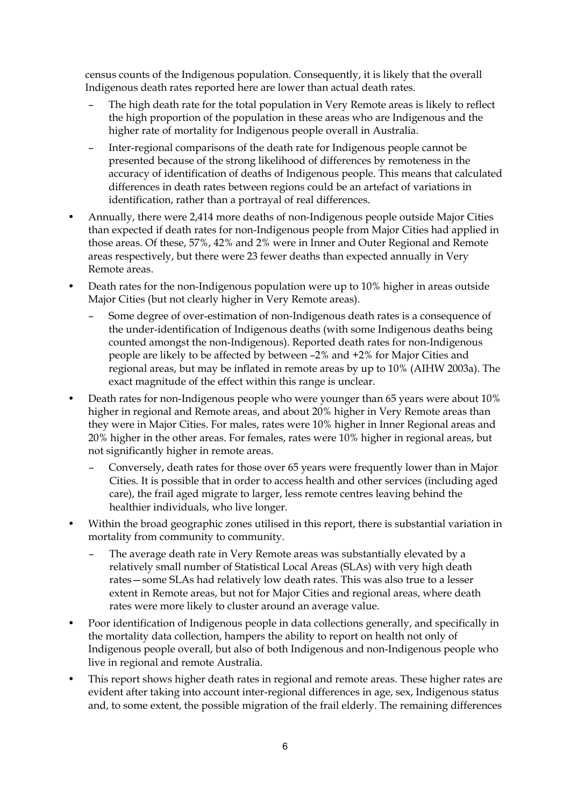census counts of the Indigenous population. Consequently, it is likely that the overall Indigenous death rates reported here are lower than actual death rates.

- The high death rate for the total population in Very Remote areas is likely to reflect the high proportion of the population in these areas who are Indigenous and the higher rate of mortality for Indigenous people overall in Australia.
- Inter-regional comparisons of the death rate for Indigenous people cannot be presented because of the strong likelihood of differences by remoteness in the accuracy of identification of deaths of Indigenous people. This means that calculated differences in death rates between regions could be an artefact of variations in identification, rather than a portrayal of real differences.
- Annually, there were 2,414 more deaths of non-Indigenous people outside Major Cities than expected if death rates for non-Indigenous people from Major Cities had applied in those areas. Of these, 57%, 42% and 2% were in Inner and Outer Regional and Remote areas respectively, but there were 23 fewer deaths than expected annually in Very Remote areas.
- Death rates for the non-Indigenous population were up to 10% higher in areas outside Major Cities (but not clearly higher in Very Remote areas).
	- Some degree of over-estimation of non-Indigenous death rates is a consequence of the under-identification of Indigenous deaths (with some Indigenous deaths being counted amongst the non-Indigenous). Reported death rates for non-Indigenous people are likely to be affected by between –2% and +2% for Major Cities and regional areas, but may be inflated in remote areas by up to 10% (AIHW 2003a). The exact magnitude of the effect within this range is unclear.
- Death rates for non-Indigenous people who were younger than 65 years were about 10% higher in regional and Remote areas, and about 20% higher in Very Remote areas than they were in Major Cities. For males, rates were 10% higher in Inner Regional areas and 20% higher in the other areas. For females, rates were 10% higher in regional areas, but not significantly higher in remote areas.
	- Conversely, death rates for those over 65 years were frequently lower than in Major Cities. It is possible that in order to access health and other services (including aged care), the frail aged migrate to larger, less remote centres leaving behind the healthier individuals, who live longer.
- Within the broad geographic zones utilised in this report, there is substantial variation in mortality from community to community.
	- The average death rate in Very Remote areas was substantially elevated by a relatively small number of Statistical Local Areas (SLAs) with very high death rates—some SLAs had relatively low death rates. This was also true to a lesser extent in Remote areas, but not for Major Cities and regional areas, where death rates were more likely to cluster around an average value.
- Poor identification of Indigenous people in data collections generally, and specifically in the mortality data collection, hampers the ability to report on health not only of Indigenous people overall, but also of both Indigenous and non-Indigenous people who live in regional and remote Australia.
- This report shows higher death rates in regional and remote areas. These higher rates are evident after taking into account inter-regional differences in age, sex, Indigenous status and, to some extent, the possible migration of the frail elderly. The remaining differences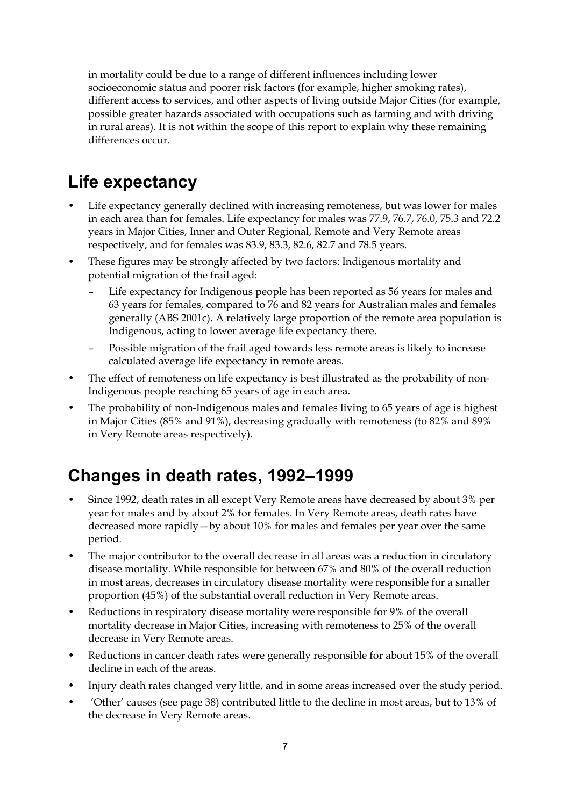in mortality could be due to a range of different influences including lower socioeconomic status and poorer risk factors (for example, higher smoking rates), different access to services, and other aspects of living outside Major Cities (for example, possible greater hazards associated with occupations such as farming and with driving in rural areas). It is not within the scope of this report to explain why these remaining differences occur.

## **Life expectancy**

- Life expectancy generally declined with increasing remoteness, but was lower for males in each area than for females. Life expectancy for males was 77.9, 76.7, 76.0, 75.3 and 72.2 years in Major Cities, Inner and Outer Regional, Remote and Very Remote areas respectively, and for females was 83.9, 83.3, 82.6, 82.7 and 78.5 years.
- These figures may be strongly affected by two factors: Indigenous mortality and potential migration of the frail aged:
	- Life expectancy for Indigenous people has been reported as 56 years for males and 63 years for females, compared to 76 and 82 years for Australian males and females generally (ABS 2001c). A relatively large proportion of the remote area population is Indigenous, acting to lower average life expectancy there.
	- Possible migration of the frail aged towards less remote areas is likely to increase calculated average life expectancy in remote areas.
- The effect of remoteness on life expectancy is best illustrated as the probability of non-Indigenous people reaching 65 years of age in each area.
- The probability of non-Indigenous males and females living to 65 years of age is highest in Major Cities (85% and 91%), decreasing gradually with remoteness (to 82% and 89% in Very Remote areas respectively).

## **Changes in death rates, 1992–1999**

- Since 1992, death rates in all except Very Remote areas have decreased by about 3% per year for males and by about 2% for females. In Very Remote areas, death rates have decreased more rapidly—by about 10% for males and females per year over the same period.
- The major contributor to the overall decrease in all areas was a reduction in circulatory disease mortality. While responsible for between 67% and 80% of the overall reduction in most areas, decreases in circulatory disease mortality were responsible for a smaller proportion (45%) of the substantial overall reduction in Very Remote areas.
- Reductions in respiratory disease mortality were responsible for 9% of the overall mortality decrease in Major Cities, increasing with remoteness to 25% of the overall decrease in Very Remote areas.
- Reductions in cancer death rates were generally responsible for about 15% of the overall decline in each of the areas.
- Injury death rates changed very little, and in some areas increased over the study period.
- 'Other' causes (see page 38) contributed little to the decline in most areas, but to 13% of the decrease in Very Remote areas.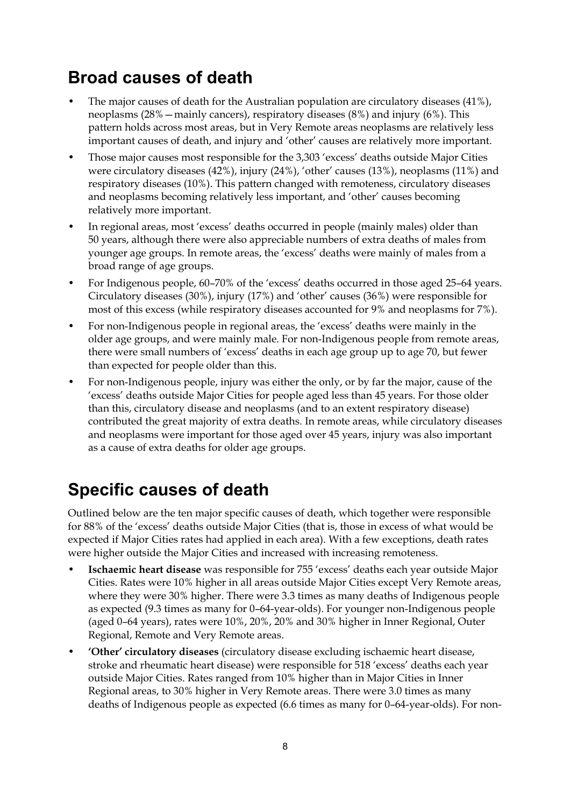### **Broad causes of death**

- The major causes of death for the Australian population are circulatory diseases (41%), neoplasms (28%—mainly cancers), respiratory diseases (8%) and injury (6%). This pattern holds across most areas, but in Very Remote areas neoplasms are relatively less important causes of death, and injury and 'other' causes are relatively more important.
- Those major causes most responsible for the 3,303 'excess' deaths outside Major Cities were circulatory diseases (42%), injury (24%), 'other' causes (13%), neoplasms (11%) and respiratory diseases (10%). This pattern changed with remoteness, circulatory diseases and neoplasms becoming relatively less important, and 'other' causes becoming relatively more important.
- In regional areas, most 'excess' deaths occurred in people (mainly males) older than 50 years, although there were also appreciable numbers of extra deaths of males from younger age groups. In remote areas, the 'excess' deaths were mainly of males from a broad range of age groups.
- For Indigenous people, 60–70% of the 'excess' deaths occurred in those aged 25–64 years. Circulatory diseases (30%), injury (17%) and 'other' causes (36%) were responsible for most of this excess (while respiratory diseases accounted for 9% and neoplasms for 7%).
- For non-Indigenous people in regional areas, the 'excess' deaths were mainly in the older age groups, and were mainly male. For non-Indigenous people from remote areas, there were small numbers of 'excess' deaths in each age group up to age 70, but fewer than expected for people older than this.
- For non-Indigenous people, injury was either the only, or by far the major, cause of the 'excess' deaths outside Major Cities for people aged less than 45 years. For those older than this, circulatory disease and neoplasms (and to an extent respiratory disease) contributed the great majority of extra deaths. In remote areas, while circulatory diseases and neoplasms were important for those aged over 45 years, injury was also important as a cause of extra deaths for older age groups.

### **Specific causes of death**

Outlined below are the ten major specific causes of death, which together were responsible for 88% of the 'excess' deaths outside Major Cities (that is, those in excess of what would be expected if Major Cities rates had applied in each area). With a few exceptions, death rates were higher outside the Major Cities and increased with increasing remoteness.

- **Ischaemic heart disease** was responsible for 755 'excess' deaths each year outside Major Cities. Rates were 10% higher in all areas outside Major Cities except Very Remote areas, where they were 30% higher. There were 3.3 times as many deaths of Indigenous people as expected (9.3 times as many for 0–64-year-olds). For younger non-Indigenous people (aged 0–64 years), rates were 10%, 20%, 20% and 30% higher in Inner Regional, Outer Regional, Remote and Very Remote areas.
- **'Other' circulatory diseases** (circulatory disease excluding ischaemic heart disease, stroke and rheumatic heart disease) were responsible for 518 'excess' deaths each year outside Major Cities. Rates ranged from 10% higher than in Major Cities in Inner Regional areas, to 30% higher in Very Remote areas. There were 3.0 times as many deaths of Indigenous people as expected (6.6 times as many for 0–64-year-olds). For non-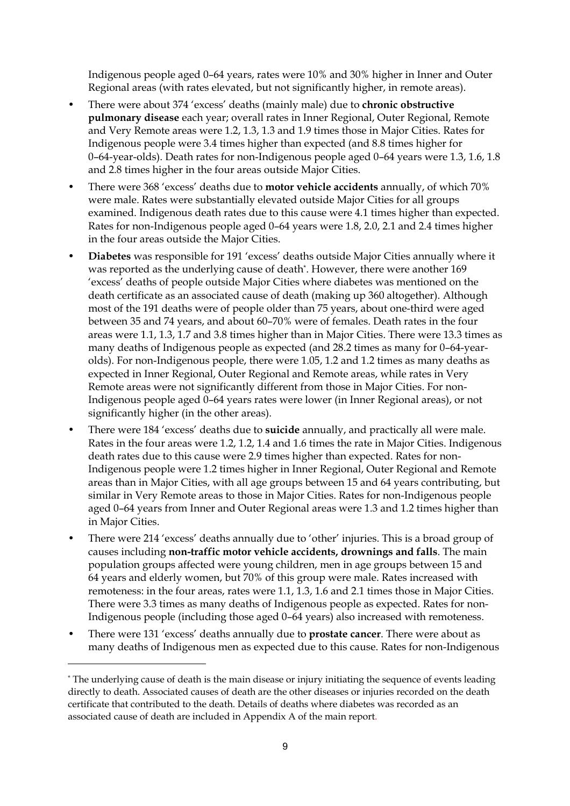Indigenous people aged 0–64 years, rates were 10% and 30% higher in Inner and Outer Regional areas (with rates elevated, but not significantly higher, in remote areas).

- There were about 374 'excess' deaths (mainly male) due to **chronic obstructive pulmonary disease** each year; overall rates in Inner Regional, Outer Regional, Remote and Very Remote areas were 1.2, 1.3, 1.3 and 1.9 times those in Major Cities. Rates for Indigenous people were 3.4 times higher than expected (and 8.8 times higher for 0–64-year-olds). Death rates for non-Indigenous people aged 0–64 years were 1.3, 1.6, 1.8 and 2.8 times higher in the four areas outside Major Cities.
- There were 368 'excess' deaths due to **motor vehicle accidents** annually, of which 70% were male. Rates were substantially elevated outside Major Cities for all groups examined. Indigenous death rates due to this cause were 4.1 times higher than expected. Rates for non-Indigenous people aged 0–64 years were 1.8, 2.0, 2.1 and 2.4 times higher in the four areas outside the Major Cities.
- **Diabetes** was responsible for 191 'excess' deaths outside Major Cities annually where it was reported as the underlying cause of death\*. However, there were another 169 'excess' deaths of people outside Major Cities where diabetes was mentioned on the death certificate as an associated cause of death (making up 360 altogether). Although most of the 191 deaths were of people older than 75 years, about one-third were aged between 35 and 74 years, and about 60–70% were of females. Death rates in the four areas were 1.1, 1.3, 1.7 and 3.8 times higher than in Major Cities. There were 13.3 times as many deaths of Indigenous people as expected (and 28.2 times as many for 0–64-yearolds). For non-Indigenous people, there were 1.05, 1.2 and 1.2 times as many deaths as expected in Inner Regional, Outer Regional and Remote areas, while rates in Very Remote areas were not significantly different from those in Major Cities. For non-Indigenous people aged 0–64 years rates were lower (in Inner Regional areas), or not significantly higher (in the other areas).
- There were 184 'excess' deaths due to **suicide** annually, and practically all were male. Rates in the four areas were 1.2, 1.2, 1.4 and 1.6 times the rate in Major Cities. Indigenous death rates due to this cause were 2.9 times higher than expected. Rates for non-Indigenous people were 1.2 times higher in Inner Regional, Outer Regional and Remote areas than in Major Cities, with all age groups between 15 and 64 years contributing, but similar in Very Remote areas to those in Major Cities. Rates for non-Indigenous people aged 0–64 years from Inner and Outer Regional areas were 1.3 and 1.2 times higher than in Major Cities.
- There were 214 'excess' deaths annually due to 'other' injuries. This is a broad group of causes including **non-traffic motor vehicle accidents, drownings and falls**. The main population groups affected were young children, men in age groups between 15 and 64 years and elderly women, but 70% of this group were male. Rates increased with remoteness: in the four areas, rates were 1.1, 1.3, 1.6 and 2.1 times those in Major Cities. There were 3.3 times as many deaths of Indigenous people as expected. Rates for non-Indigenous people (including those aged 0–64 years) also increased with remoteness.
- There were 131 'excess' deaths annually due to **prostate cancer**. There were about as many deaths of Indigenous men as expected due to this cause. Rates for non-Indigenous

 $\ddot{\phantom{a}}$ 

<sup>\*</sup> The underlying cause of death is the main disease or injury initiating the sequence of events leading directly to death. Associated causes of death are the other diseases or injuries recorded on the death certificate that contributed to the death. Details of deaths where diabetes was recorded as an associated cause of death are included in Appendix A of the main report.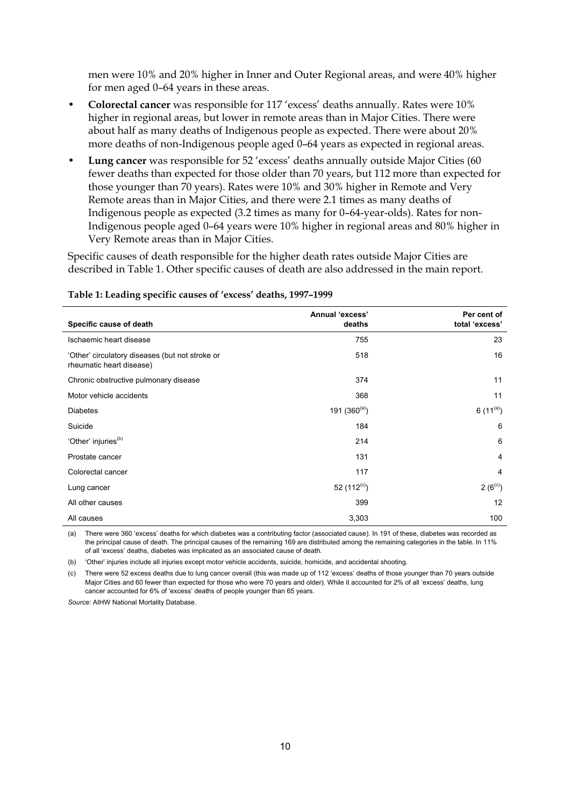men were 10% and 20% higher in Inner and Outer Regional areas, and were 40% higher for men aged 0–64 years in these areas.

- **Colorectal cancer** was responsible for 117 'excess' deaths annually. Rates were 10% higher in regional areas, but lower in remote areas than in Major Cities. There were about half as many deaths of Indigenous people as expected. There were about 20% more deaths of non-Indigenous people aged 0–64 years as expected in regional areas.
- **Lung cancer** was responsible for 52 'excess' deaths annually outside Major Cities (60 fewer deaths than expected for those older than 70 years, but 112 more than expected for those younger than 70 years). Rates were 10% and 30% higher in Remote and Very Remote areas than in Major Cities, and there were 2.1 times as many deaths of Indigenous people as expected (3.2 times as many for 0–64-year-olds). Rates for non-Indigenous people aged 0–64 years were 10% higher in regional areas and 80% higher in Very Remote areas than in Major Cities.

Specific causes of death responsible for the higher death rates outside Major Cities are described in Table 1. Other specific causes of death are also addressed in the main report.

| Specific cause of death                                                     | Annual 'excess'<br>deaths | Per cent of<br>total 'excess' |
|-----------------------------------------------------------------------------|---------------------------|-------------------------------|
| Ischaemic heart disease                                                     | 755                       | 23                            |
| 'Other' circulatory diseases (but not stroke or<br>rheumatic heart disease) | 518                       | 16                            |
| Chronic obstructive pulmonary disease                                       | 374                       | 11                            |
| Motor vehicle accidents                                                     | 368                       | 11                            |
| <b>Diabetes</b>                                                             | 191 $(360^{(a)})$         | 6 $(11^{(a)})$                |
| Suicide                                                                     | 184                       | 6                             |
| 'Other' injuries <sup>(b)</sup>                                             | 214                       | 6                             |
| Prostate cancer                                                             | 131                       | $\overline{4}$                |
| Colorectal cancer                                                           | 117                       | $\overline{4}$                |
| Lung cancer                                                                 | 52 $(112^{(c)})$          | $2(6^{\circ})$                |
| All other causes                                                            | 399                       | 12                            |
| All causes                                                                  | 3,303                     | 100                           |

#### **Table 1: Leading specific causes of 'excess' deaths, 1997–1999**

(a) There were 360 'excess' deaths for which diabetes was a contributing factor (associated cause). In 191 of these, diabetes was recorded as the principal cause of death. The principal causes of the remaining 169 are distributed among the remaining categories in the table. In 11% of all 'excess' deaths, diabetes was implicated as an associated cause of death.

(b) 'Other' injuries include all injuries except motor vehicle accidents, suicide, homicide, and accidental shooting.

(c) There were 52 excess deaths due to lung cancer overall (this was made up of 112 'excess' deaths of those younger than 70 years outside Major Cities and 60 fewer than expected for those who were 70 years and older). While it accounted for 2% of all 'excess' deaths, lung cancer accounted for 6% of 'excess' deaths of people younger than 65 years.

*Source:* AIHW National Mortality Database.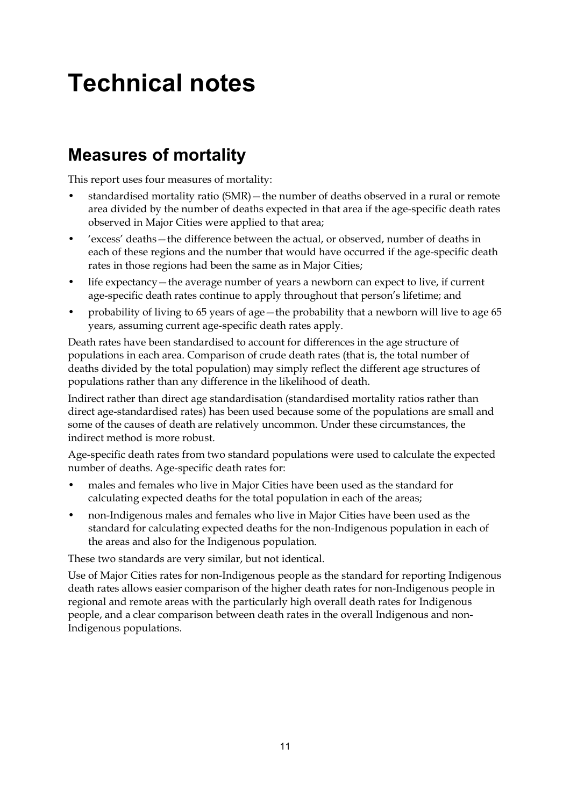## **Technical notes**

## **Measures of mortality**

This report uses four measures of mortality:

- standardised mortality ratio (SMR)—the number of deaths observed in a rural or remote area divided by the number of deaths expected in that area if the age-specific death rates observed in Major Cities were applied to that area;
- 'excess' deaths—the difference between the actual, or observed, number of deaths in each of these regions and the number that would have occurred if the age-specific death rates in those regions had been the same as in Major Cities;
- life expectancy—the average number of years a newborn can expect to live, if current age-specific death rates continue to apply throughout that person's lifetime; and
- probability of living to 65 years of age—the probability that a newborn will live to age 65 years, assuming current age-specific death rates apply.

Death rates have been standardised to account for differences in the age structure of populations in each area. Comparison of crude death rates (that is, the total number of deaths divided by the total population) may simply reflect the different age structures of populations rather than any difference in the likelihood of death.

Indirect rather than direct age standardisation (standardised mortality ratios rather than direct age-standardised rates) has been used because some of the populations are small and some of the causes of death are relatively uncommon. Under these circumstances, the indirect method is more robust.

Age-specific death rates from two standard populations were used to calculate the expected number of deaths. Age-specific death rates for:

- males and females who live in Major Cities have been used as the standard for calculating expected deaths for the total population in each of the areas;
- non-Indigenous males and females who live in Major Cities have been used as the standard for calculating expected deaths for the non-Indigenous population in each of the areas and also for the Indigenous population.

These two standards are very similar, but not identical.

Use of Major Cities rates for non-Indigenous people as the standard for reporting Indigenous death rates allows easier comparison of the higher death rates for non-Indigenous people in regional and remote areas with the particularly high overall death rates for Indigenous people, and a clear comparison between death rates in the overall Indigenous and non-Indigenous populations.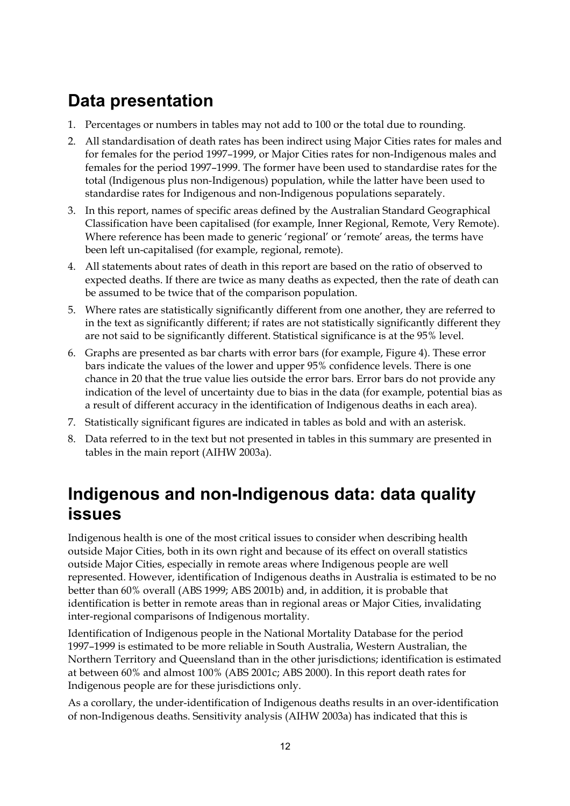## **Data presentation**

- 1. Percentages or numbers in tables may not add to 100 or the total due to rounding.
- 2. All standardisation of death rates has been indirect using Major Cities rates for males and for females for the period 1997–1999, or Major Cities rates for non-Indigenous males and females for the period 1997–1999. The former have been used to standardise rates for the total (Indigenous plus non-Indigenous) population, while the latter have been used to standardise rates for Indigenous and non-Indigenous populations separately.
- 3. In this report, names of specific areas defined by the Australian Standard Geographical Classification have been capitalised (for example, Inner Regional, Remote, Very Remote). Where reference has been made to generic 'regional' or 'remote' areas, the terms have been left un-capitalised (for example, regional, remote).
- 4. All statements about rates of death in this report are based on the ratio of observed to expected deaths. If there are twice as many deaths as expected, then the rate of death can be assumed to be twice that of the comparison population.
- 5. Where rates are statistically significantly different from one another, they are referred to in the text as significantly different; if rates are not statistically significantly different they are not said to be significantly different. Statistical significance is at the 95% level.
- 6. Graphs are presented as bar charts with error bars (for example, Figure 4). These error bars indicate the values of the lower and upper 95% confidence levels. There is one chance in 20 that the true value lies outside the error bars. Error bars do not provide any indication of the level of uncertainty due to bias in the data (for example, potential bias as a result of different accuracy in the identification of Indigenous deaths in each area).
- 7. Statistically significant figures are indicated in tables as bold and with an asterisk.
- 8. Data referred to in the text but not presented in tables in this summary are presented in tables in the main report (AIHW 2003a).

### **Indigenous and non-Indigenous data: data quality issues**

Indigenous health is one of the most critical issues to consider when describing health outside Major Cities, both in its own right and because of its effect on overall statistics outside Major Cities, especially in remote areas where Indigenous people are well represented. However, identification of Indigenous deaths in Australia is estimated to be no better than 60% overall (ABS 1999; ABS 2001b) and, in addition, it is probable that identification is better in remote areas than in regional areas or Major Cities, invalidating inter-regional comparisons of Indigenous mortality.

Identification of Indigenous people in the National Mortality Database for the period 1997–1999 is estimated to be more reliable in South Australia, Western Australian, the Northern Territory and Queensland than in the other jurisdictions; identification is estimated at between 60% and almost 100% (ABS 2001c; ABS 2000). In this report death rates for Indigenous people are for these jurisdictions only.

As a corollary, the under-identification of Indigenous deaths results in an over-identification of non-Indigenous deaths. Sensitivity analysis (AIHW 2003a) has indicated that this is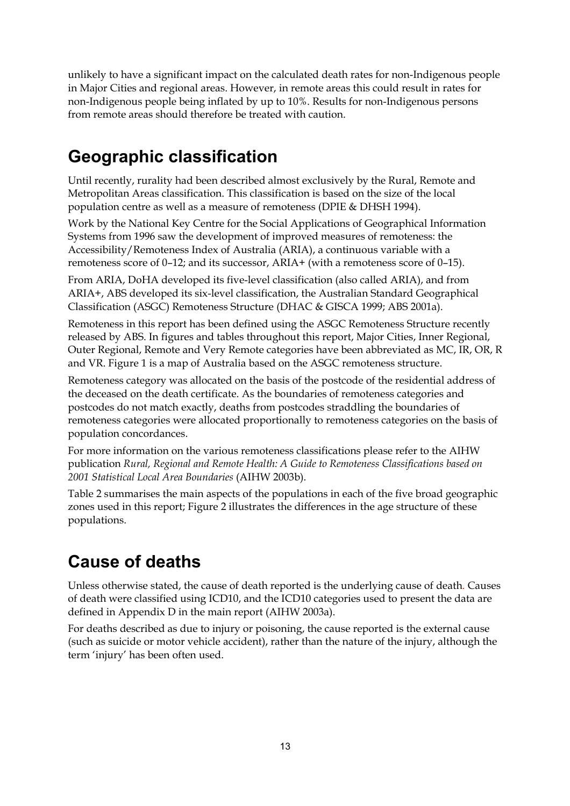unlikely to have a significant impact on the calculated death rates for non-Indigenous people in Major Cities and regional areas. However, in remote areas this could result in rates for non-Indigenous people being inflated by up to 10%. Results for non-Indigenous persons from remote areas should therefore be treated with caution.

## **Geographic classification**

Until recently, rurality had been described almost exclusively by the Rural, Remote and Metropolitan Areas classification. This classification is based on the size of the local population centre as well as a measure of remoteness (DPIE & DHSH 1994).

Work by the National Key Centre for the Social Applications of Geographical Information Systems from 1996 saw the development of improved measures of remoteness: the Accessibility/Remoteness Index of Australia (ARIA), a continuous variable with a remoteness score of 0–12; and its successor, ARIA+ (with a remoteness score of 0–15).

From ARIA, DoHA developed its five-level classification (also called ARIA), and from ARIA+, ABS developed its six-level classification, the Australian Standard Geographical Classification (ASGC) Remoteness Structure (DHAC & GISCA 1999; ABS 2001a).

Remoteness in this report has been defined using the ASGC Remoteness Structure recently released by ABS. In figures and tables throughout this report, Major Cities, Inner Regional, Outer Regional, Remote and Very Remote categories have been abbreviated as MC, IR, OR, R and VR. Figure 1 is a map of Australia based on the ASGC remoteness structure.

Remoteness category was allocated on the basis of the postcode of the residential address of the deceased on the death certificate. As the boundaries of remoteness categories and postcodes do not match exactly, deaths from postcodes straddling the boundaries of remoteness categories were allocated proportionally to remoteness categories on the basis of population concordances.

For more information on the various remoteness classifications please refer to the AIHW publication *Rural, Regional and Remote Health: A Guide to Remoteness Classifications based on 2001 Statistical Local Area Boundaries* (AIHW 2003b).

Table 2 summarises the main aspects of the populations in each of the five broad geographic zones used in this report; Figure 2 illustrates the differences in the age structure of these populations.

## **Cause of deaths**

Unless otherwise stated, the cause of death reported is the underlying cause of death. Causes of death were classified using ICD10, and the ICD10 categories used to present the data are defined in Appendix D in the main report (AIHW 2003a).

For deaths described as due to injury or poisoning, the cause reported is the external cause (such as suicide or motor vehicle accident), rather than the nature of the injury, although the term 'injury' has been often used.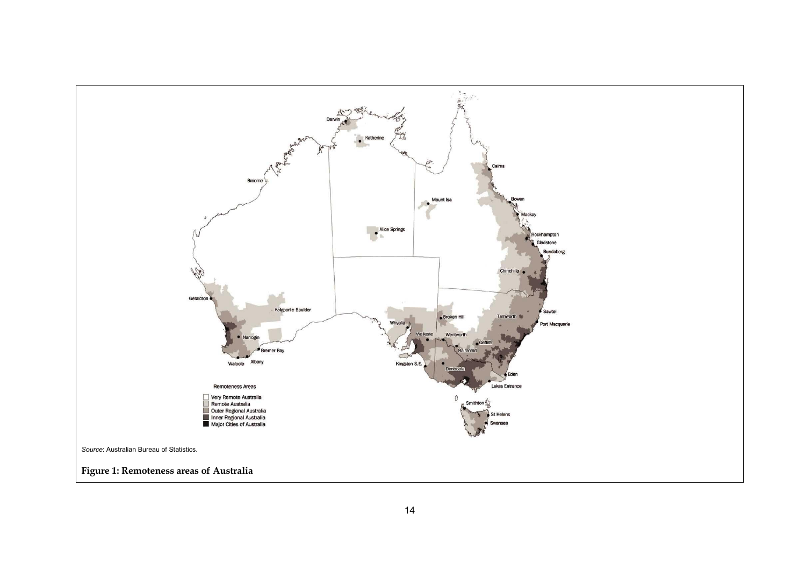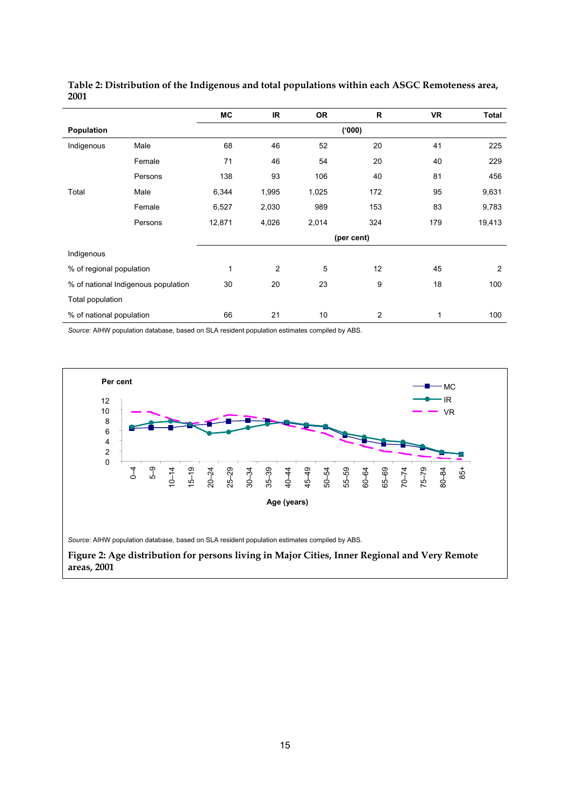|                                     |         | MC     | <b>IR</b>  | <b>OR</b> | $\mathsf{R}$ | <b>VR</b> | <b>Total</b>   |  |
|-------------------------------------|---------|--------|------------|-----------|--------------|-----------|----------------|--|
| Population                          |         |        |            |           | (000)        |           |                |  |
| Indigenous                          | Male    | 68     | 46         | 52        | 20           | 41        | 225            |  |
|                                     | Female  | 71     | 46         | 54        | 20           | 40        | 229            |  |
|                                     | Persons | 138    | 93         | 106       | 40           | 81        | 456            |  |
| Total                               | Male    | 6,344  | 1,995      | 1,025     | 172          | 95        | 9,631          |  |
|                                     | Female  | 6,527  | 2,030      | 989       | 153          | 83        | 9,783          |  |
|                                     | Persons | 12,871 | 4,026      | 2,014     | 324          | 179       | 19,413         |  |
|                                     |         |        | (per cent) |           |              |           |                |  |
| Indigenous                          |         |        |            |           |              |           |                |  |
| % of regional population            |         | 1      | 2          | 5         | 12           | 45        | $\overline{2}$ |  |
| % of national Indigenous population |         | 30     | 20         | 23        | 9            | 18        | 100            |  |
| Total population                    |         |        |            |           |              |           |                |  |
| % of national population            |         | 66     | 21         | 10        | 2            | 1         | 100            |  |

**Table 2: Distribution of the Indigenous and total populations within each ASGC Remoteness area, 2001**

*Source:* AIHW population database, based on SLA resident population estimates compiled by ABS.

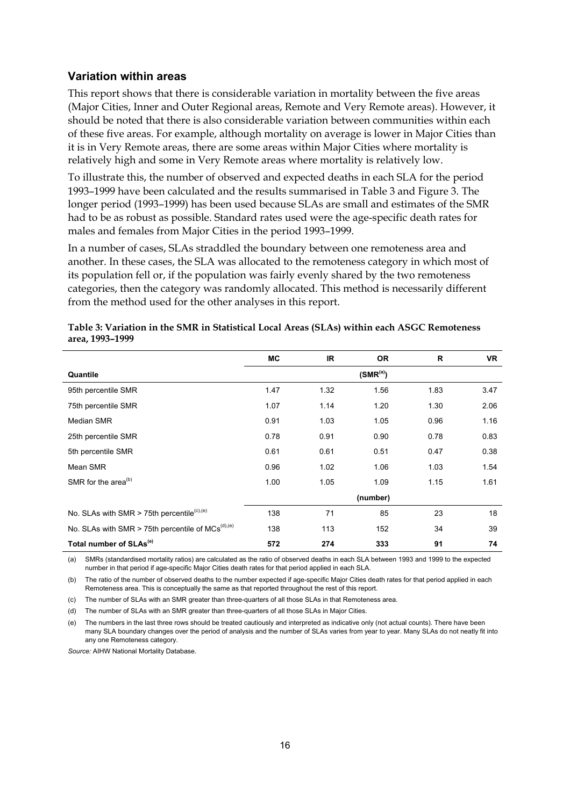#### **Variation within areas**

This report shows that there is considerable variation in mortality between the five areas (Major Cities, Inner and Outer Regional areas, Remote and Very Remote areas). However, it should be noted that there is also considerable variation between communities within each of these five areas. For example, although mortality on average is lower in Major Cities than it is in Very Remote areas, there are some areas within Major Cities where mortality is relatively high and some in Very Remote areas where mortality is relatively low.

To illustrate this, the number of observed and expected deaths in each SLA for the period 1993–1999 have been calculated and the results summarised in Table 3 and Figure 3. The longer period (1993–1999) has been used because SLAs are small and estimates of the SMR had to be as robust as possible. Standard rates used were the age-specific death rates for males and females from Major Cities in the period 1993–1999.

In a number of cases, SLAs straddled the boundary between one remoteness area and another. In these cases, the SLA was allocated to the remoteness category in which most of its population fell or, if the population was fairly evenly shared by the two remoteness categories, then the category was randomly allocated. This method is necessarily different from the method used for the other analyses in this report.

|                                                          | МC   | IR.  | <b>OR</b>     | R    | <b>VR</b> |
|----------------------------------------------------------|------|------|---------------|------|-----------|
| Quantile                                                 |      |      | $(SMR^{(a)})$ |      |           |
| 95th percentile SMR                                      | 1.47 | 1.32 | 1.56          | 1.83 | 3.47      |
| 75th percentile SMR                                      | 1.07 | 1.14 | 1.20          | 1.30 | 2.06      |
| Median SMR                                               | 0.91 | 1.03 | 1.05          | 0.96 | 1.16      |
| 25th percentile SMR                                      | 0.78 | 0.91 | 0.90          | 0.78 | 0.83      |
| 5th percentile SMR                                       | 0.61 | 0.61 | 0.51          | 0.47 | 0.38      |
| Mean SMR                                                 | 0.96 | 1.02 | 1.06          | 1.03 | 1.54      |
| SMR for the area <sup>(b)</sup>                          | 1.00 | 1.05 | 1.09          | 1.15 | 1.61      |
|                                                          |      |      | (number)      |      |           |
| No. SLAs with SMR $>$ 75th percentile <sup>(c),(e)</sup> | 138  | 71   | 85            | 23   | 18        |
| No. SLAs with SMR > 75th percentile of $MCs^{(d),(e)}$   | 138  | 113  | 152           | 34   | 39        |
| Total number of SLAs <sup>(e)</sup>                      | 572  | 274  | 333           | 91   | 74        |

| Table 3: Variation in the SMR in Statistical Local Areas (SLAs) within each ASGC Remoteness |
|---------------------------------------------------------------------------------------------|
| area, 1993–1999                                                                             |

(a) SMRs (standardised mortality ratios) are calculated as the ratio of observed deaths in each SLA between 1993 and 1999 to the expected number in that period if age-specific Major Cities death rates for that period applied in each SLA.

(b) The ratio of the number of observed deaths to the number expected if age-specific Major Cities death rates for that period applied in each Remoteness area. This is conceptually the same as that reported throughout the rest of this report.

(c) The number of SLAs with an SMR greater than three-quarters of all those SLAs in that Remoteness area.

(d) The number of SLAs with an SMR greater than three-quarters of all those SLAs in Major Cities.

(e) The numbers in the last three rows should be treated cautiously and interpreted as indicative only (not actual counts). There have been many SLA boundary changes over the period of analysis and the number of SLAs varies from year to year. Many SLAs do not neatly fit into any one Remoteness category.

*Source:* AIHW National Mortality Database.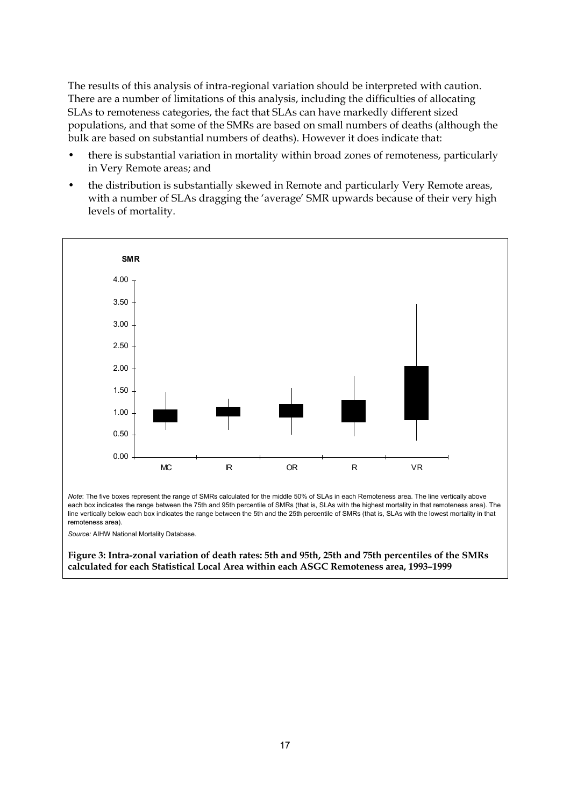The results of this analysis of intra-regional variation should be interpreted with caution. There are a number of limitations of this analysis, including the difficulties of allocating SLAs to remoteness categories, the fact that SLAs can have markedly different sized populations, and that some of the SMRs are based on small numbers of deaths (although the bulk are based on substantial numbers of deaths). However it does indicate that:

- there is substantial variation in mortality within broad zones of remoteness, particularly in Very Remote areas; and
- the distribution is substantially skewed in Remote and particularly Very Remote areas, with a number of SLAs dragging the 'average' SMR upwards because of their very high levels of mortality.



*Note*: The five boxes represent the range of SMRs calculated for the middle 50% of SLAs in each Remoteness area. The line vertically above each box indicates the range between the 75th and 95th percentile of SMRs (that is, SLAs with the highest mortality in that remoteness area). The line vertically below each box indicates the range between the 5th and the 25th percentile of SMRs (that is, SLAs with the lowest mortality in that remoteness area).

*Source:* AIHW National Mortality Database.

**Figure 3: Intra-zonal variation of death rates: 5th and 95th, 25th and 75th percentiles of the SMRs calculated for each Statistical Local Area within each ASGC Remoteness area, 1993–1999**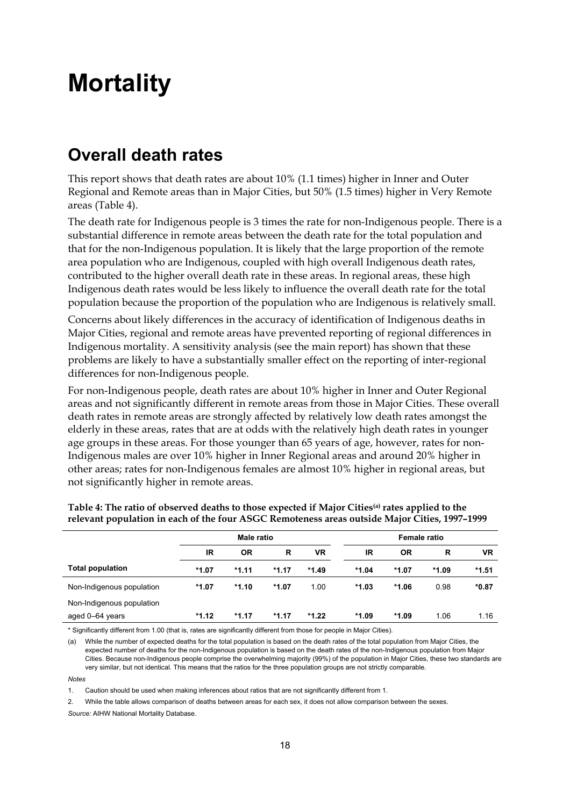## **Mortality**

## **Overall death rates**

This report shows that death rates are about 10% (1.1 times) higher in Inner and Outer Regional and Remote areas than in Major Cities, but 50% (1.5 times) higher in Very Remote areas (Table 4).

The death rate for Indigenous people is 3 times the rate for non-Indigenous people. There is a substantial difference in remote areas between the death rate for the total population and that for the non-Indigenous population. It is likely that the large proportion of the remote area population who are Indigenous, coupled with high overall Indigenous death rates, contributed to the higher overall death rate in these areas. In regional areas, these high Indigenous death rates would be less likely to influence the overall death rate for the total population because the proportion of the population who are Indigenous is relatively small.

Concerns about likely differences in the accuracy of identification of Indigenous deaths in Major Cities, regional and remote areas have prevented reporting of regional differences in Indigenous mortality. A sensitivity analysis (see the main report) has shown that these problems are likely to have a substantially smaller effect on the reporting of inter-regional differences for non-Indigenous people.

For non-Indigenous people, death rates are about 10% higher in Inner and Outer Regional areas and not significantly different in remote areas from those in Major Cities. These overall death rates in remote areas are strongly affected by relatively low death rates amongst the elderly in these areas, rates that are at odds with the relatively high death rates in younger age groups in these areas. For those younger than 65 years of age, however, rates for non-Indigenous males are over 10% higher in Inner Regional areas and around 20% higher in other areas; rates for non-Indigenous females are almost 10% higher in regional areas, but not significantly higher in remote areas.

|                           | <b>Male ratio</b>          |         |         |         | <b>Female ratio</b> |         |           |         |
|---------------------------|----------------------------|---------|---------|---------|---------------------|---------|-----------|---------|
|                           | IR<br>R<br>VR<br><b>OR</b> |         |         | IR      | 0R                  | R       | <b>VR</b> |         |
| <b>Total population</b>   | $*1.07$                    | $*1.11$ | $*1.17$ | $*1.49$ | $*1.04$             | $*1.07$ | *1.09     | $*1.51$ |
| Non-Indigenous population | $*1.07$                    | $*1.10$ | $*1.07$ | 1.00    | $*1.03$             | $*1.06$ | 0.98      | $*0.87$ |
| Non-Indigenous population |                            |         |         |         |                     |         |           |         |
| aged 0–64 years           | $*1.12$                    | $*1.17$ | *1.17   | $*1.22$ | *1.09               | $*1.09$ | 1.06      | 1.16    |

#### **Table 4: The ratio of observed deaths to those expected if Major Cities(a) rates applied to the relevant population in each of the four ASGC Remoteness areas outside Major Cities, 1997–1999**

\* Significantly different from 1.00 (that is, rates are significantly different from those for people in Major Cities).

(a) While the number of expected deaths for the total population is based on the death rates of the total population from Major Cities, the expected number of deaths for the non-Indigenous population is based on the death rates of the non-Indigenous population from Major Cities. Because non-Indigenous people comprise the overwhelming majority (99%) of the population in Major Cities, these two standards are very similar, but not identical. This means that the ratios for the three population groups are not strictly comparable.

*Notes*

1. Caution should be used when making inferences about ratios that are not significantly different from 1.

2. While the table allows comparison of deaths between areas for each sex, it does not allow comparison between the sexes. *Source:* AIHW National Mortality Database.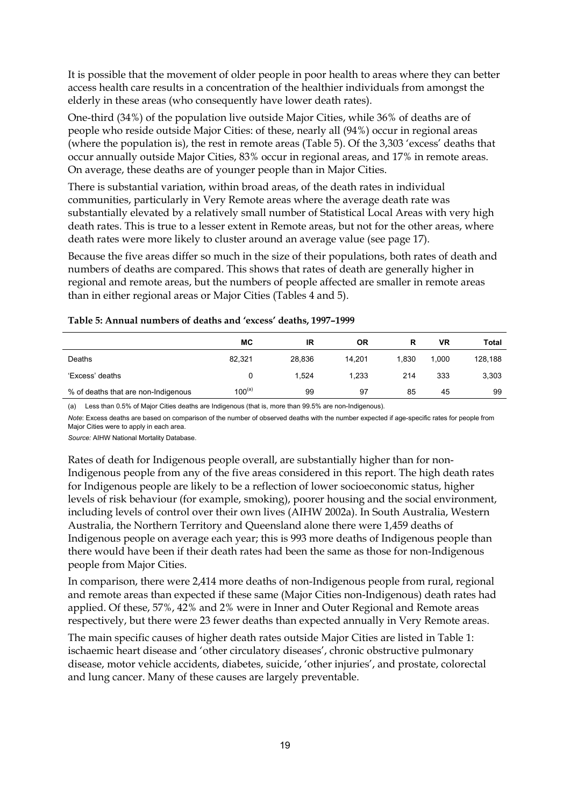It is possible that the movement of older people in poor health to areas where they can better access health care results in a concentration of the healthier individuals from amongst the elderly in these areas (who consequently have lower death rates).

One-third (34%) of the population live outside Major Cities, while 36% of deaths are of people who reside outside Major Cities: of these, nearly all (94%) occur in regional areas (where the population is), the rest in remote areas (Table 5). Of the 3,303 'excess' deaths that occur annually outside Major Cities, 83% occur in regional areas, and 17% in remote areas. On average, these deaths are of younger people than in Major Cities.

There is substantial variation, within broad areas, of the death rates in individual communities, particularly in Very Remote areas where the average death rate was substantially elevated by a relatively small number of Statistical Local Areas with very high death rates. This is true to a lesser extent in Remote areas, but not for the other areas, where death rates were more likely to cluster around an average value (see page 17).

Because the five areas differ so much in the size of their populations, both rates of death and numbers of deaths are compared. This shows that rates of death are generally higher in regional and remote areas, but the numbers of people affected are smaller in remote areas than in either regional areas or Major Cities (Tables 4 and 5).

|                                     | МC          | IR     | ΟR     | R     | VR    | Total   |
|-------------------------------------|-------------|--------|--------|-------|-------|---------|
| Deaths                              | 82,321      | 28.836 | 14.201 | 1.830 | 1,000 | 128,188 |
| 'Excess' deaths                     |             | 1.524  | 1.233  | 214   | 333   | 3,303   |
| % of deaths that are non-Indigenous | $100^{(a)}$ | 99     | 97     | 85    | 45    | 99      |

#### **Table 5: Annual numbers of deaths and 'excess' deaths, 1997–1999**

(a) Less than 0.5% of Major Cities deaths are Indigenous (that is, more than 99.5% are non-Indigenous).

*Note*: Excess deaths are based on comparison of the number of observed deaths with the number expected if age-specific rates for people from Major Cities were to apply in each area.

*Source:* AIHW National Mortality Database.

Rates of death for Indigenous people overall, are substantially higher than for non-Indigenous people from any of the five areas considered in this report. The high death rates for Indigenous people are likely to be a reflection of lower socioeconomic status, higher levels of risk behaviour (for example, smoking), poorer housing and the social environment, including levels of control over their own lives (AIHW 2002a). In South Australia, Western Australia, the Northern Territory and Queensland alone there were 1,459 deaths of Indigenous people on average each year; this is 993 more deaths of Indigenous people than there would have been if their death rates had been the same as those for non-Indigenous people from Major Cities.

In comparison, there were 2,414 more deaths of non-Indigenous people from rural, regional and remote areas than expected if these same (Major Cities non-Indigenous) death rates had applied. Of these, 57%, 42% and 2% were in Inner and Outer Regional and Remote areas respectively, but there were 23 fewer deaths than expected annually in Very Remote areas.

The main specific causes of higher death rates outside Major Cities are listed in Table 1: ischaemic heart disease and 'other circulatory diseases', chronic obstructive pulmonary disease, motor vehicle accidents, diabetes, suicide, 'other injuries', and prostate, colorectal and lung cancer. Many of these causes are largely preventable.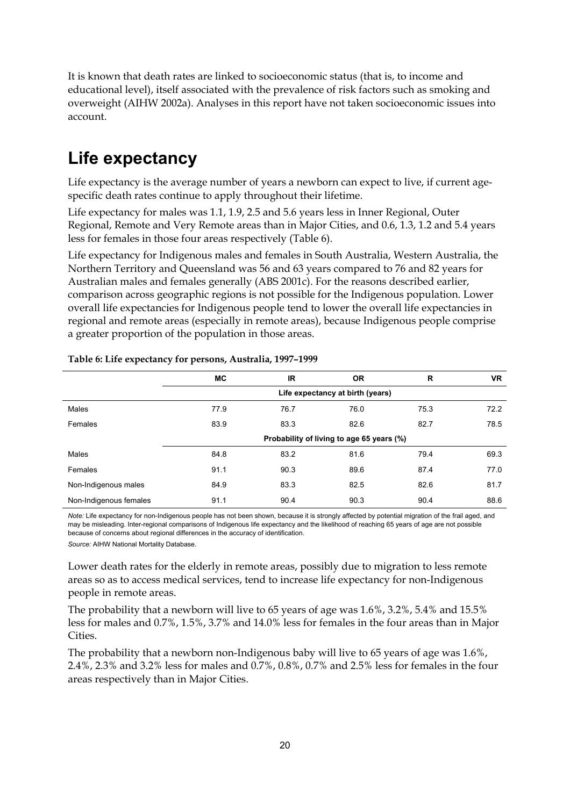It is known that death rates are linked to socioeconomic status (that is, to income and educational level), itself associated with the prevalence of risk factors such as smoking and overweight (AIHW 2002a). Analyses in this report have not taken socioeconomic issues into account.

### **Life expectancy**

Life expectancy is the average number of years a newborn can expect to live, if current agespecific death rates continue to apply throughout their lifetime.

Life expectancy for males was 1.1, 1.9, 2.5 and 5.6 years less in Inner Regional, Outer Regional, Remote and Very Remote areas than in Major Cities, and 0.6, 1.3, 1.2 and 5.4 years less for females in those four areas respectively (Table 6).

Life expectancy for Indigenous males and females in South Australia, Western Australia, the Northern Territory and Queensland was 56 and 63 years compared to 76 and 82 years for Australian males and females generally (ABS 2001c). For the reasons described earlier, comparison across geographic regions is not possible for the Indigenous population. Lower overall life expectancies for Indigenous people tend to lower the overall life expectancies in regional and remote areas (especially in remote areas), because Indigenous people comprise a greater proportion of the population in those areas.

|                        | МC   | ΙR   | <b>OR</b>                                 | R    | <b>VR</b> |
|------------------------|------|------|-------------------------------------------|------|-----------|
|                        |      |      | Life expectancy at birth (years)          |      |           |
| Males                  | 77.9 | 76.7 | 76.0                                      | 75.3 | 72.2      |
| Females                | 83.9 | 83.3 | 82.6                                      | 82.7 | 78.5      |
|                        |      |      | Probability of living to age 65 years (%) |      |           |
| Males                  | 84.8 | 83.2 | 81.6                                      | 79.4 | 69.3      |
| Females                | 91.1 | 90.3 | 89.6                                      | 87.4 | 77.0      |
| Non-Indigenous males   | 84.9 | 83.3 | 82.5                                      | 82.6 | 81.7      |
| Non-Indigenous females | 91.1 | 90.4 | 90.3                                      | 90.4 | 88.6      |

#### **Table 6: Life expectancy for persons, Australia, 1997–1999**

*Note:* Life expectancy for non-Indigenous people has not been shown, because it is strongly affected by potential migration of the frail aged, and may be misleading. Inter-regional comparisons of Indigenous life expectancy and the likelihood of reaching 65 years of age are not possible because of concerns about regional differences in the accuracy of identification.

*Source:* AIHW National Mortality Database.

Lower death rates for the elderly in remote areas, possibly due to migration to less remote areas so as to access medical services, tend to increase life expectancy for non-Indigenous people in remote areas.

The probability that a newborn will live to 65 years of age was 1.6%, 3.2%, 5.4% and 15.5% less for males and 0.7%, 1.5%, 3.7% and 14.0% less for females in the four areas than in Major Cities.

The probability that a newborn non-Indigenous baby will live to 65 years of age was 1.6%, 2.4%, 2.3% and 3.2% less for males and 0.7%, 0.8%, 0.7% and 2.5% less for females in the four areas respectively than in Major Cities.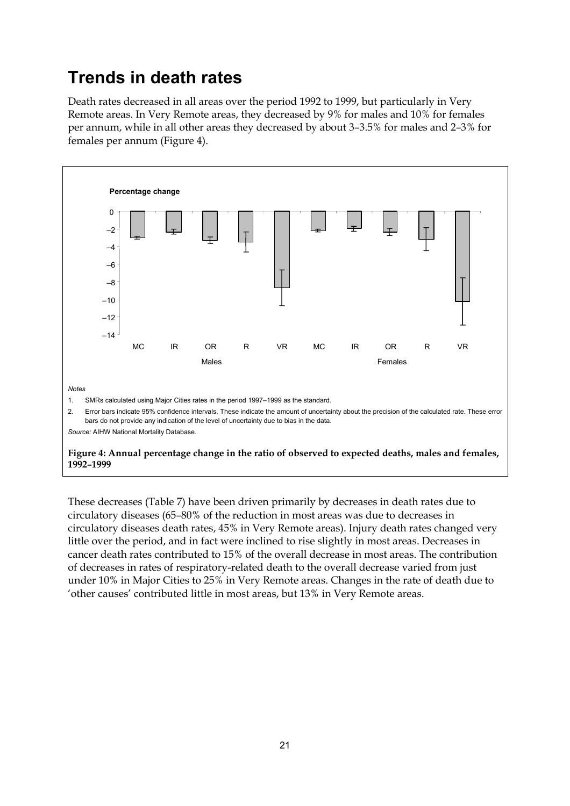### **Trends in death rates**

Death rates decreased in all areas over the period 1992 to 1999, but particularly in Very Remote areas. In Very Remote areas, they decreased by 9% for males and 10% for females per annum, while in all other areas they decreased by about 3–3.5% for males and 2–3% for females per annum (Figure 4).



These decreases (Table 7) have been driven primarily by decreases in death rates due to circulatory diseases (65–80% of the reduction in most areas was due to decreases in circulatory diseases death rates, 45% in Very Remote areas). Injury death rates changed very little over the period, and in fact were inclined to rise slightly in most areas. Decreases in cancer death rates contributed to 15% of the overall decrease in most areas. The contribution of decreases in rates of respiratory-related death to the overall decrease varied from just under 10% in Major Cities to 25% in Very Remote areas. Changes in the rate of death due to 'other causes' contributed little in most areas, but 13% in Very Remote areas.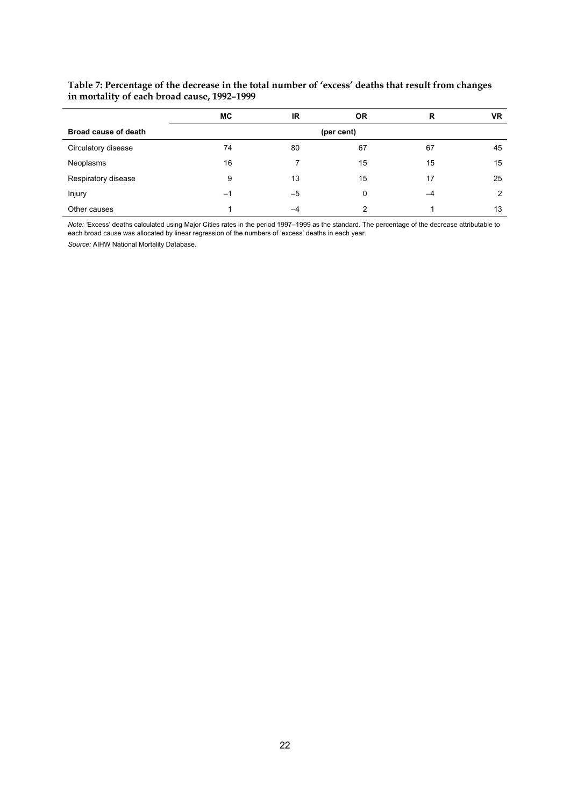#### **Table 7: Percentage of the decrease in the total number of 'excess' deaths that result from changes in mortality of each broad cause, 1992–1999**

|                      | <b>MC</b> | IR. | <b>OR</b>  | R  | <b>VR</b> |
|----------------------|-----------|-----|------------|----|-----------|
| Broad cause of death |           |     | (per cent) |    |           |
| Circulatory disease  | 74        | 80  | 67         | 67 | 45        |
| Neoplasms            | 16        |     | 15         | 15 | 15        |
| Respiratory disease  | 9         | 13  | 15         | 17 | 25        |
| Injury               | -1        | -5  | 0          | -4 | 2         |
| Other causes         |           | -4  | າ          |    | 13        |

*Note: '*Excess' deaths calculated using Major Cities rates in the period 1997–1999 as the standard. The percentage of the decrease attributable to each broad cause was allocated by linear regression of the numbers of 'excess' deaths in each year.

*Source:* AIHW National Mortality Database.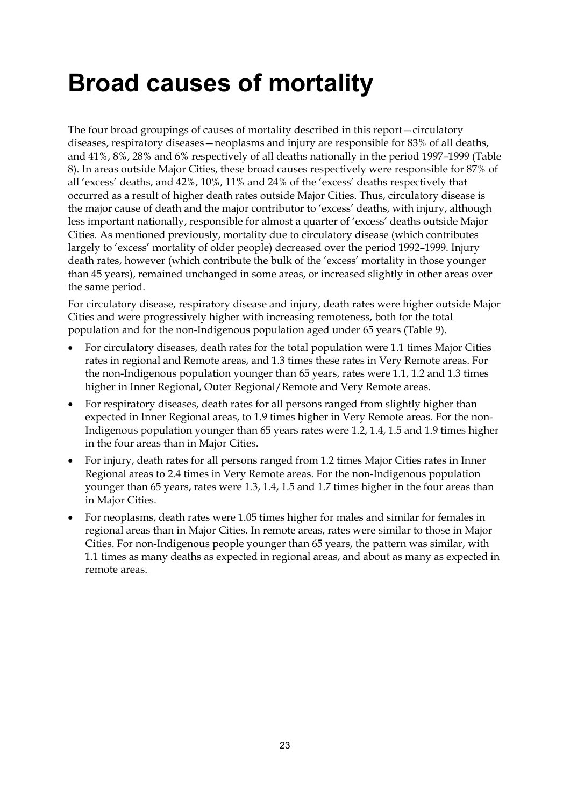## **Broad causes of mortality**

The four broad groupings of causes of mortality described in this report—circulatory diseases, respiratory diseases—neoplasms and injury are responsible for 83% of all deaths, and 41%, 8%, 28% and 6% respectively of all deaths nationally in the period 1997–1999 (Table 8). In areas outside Major Cities, these broad causes respectively were responsible for 87% of all 'excess' deaths, and 42%, 10%, 11% and 24% of the 'excess' deaths respectively that occurred as a result of higher death rates outside Major Cities. Thus, circulatory disease is the major cause of death and the major contributor to 'excess' deaths, with injury, although less important nationally, responsible for almost a quarter of 'excess' deaths outside Major Cities. As mentioned previously, mortality due to circulatory disease (which contributes largely to 'excess' mortality of older people) decreased over the period 1992–1999. Injury death rates, however (which contribute the bulk of the 'excess' mortality in those younger than 45 years), remained unchanged in some areas, or increased slightly in other areas over the same period.

For circulatory disease, respiratory disease and injury, death rates were higher outside Major Cities and were progressively higher with increasing remoteness, both for the total population and for the non-Indigenous population aged under 65 years (Table 9).

- For circulatory diseases, death rates for the total population were 1.1 times Major Cities rates in regional and Remote areas, and 1.3 times these rates in Very Remote areas. For the non-Indigenous population younger than 65 years, rates were 1.1, 1.2 and 1.3 times higher in Inner Regional, Outer Regional/Remote and Very Remote areas.
- For respiratory diseases, death rates for all persons ranged from slightly higher than expected in Inner Regional areas, to 1.9 times higher in Very Remote areas. For the non-Indigenous population younger than 65 years rates were 1.2, 1.4, 1.5 and 1.9 times higher in the four areas than in Major Cities.
- For injury, death rates for all persons ranged from 1.2 times Major Cities rates in Inner Regional areas to 2.4 times in Very Remote areas. For the non-Indigenous population younger than 65 years, rates were 1.3, 1.4, 1.5 and 1.7 times higher in the four areas than in Major Cities.
- For neoplasms, death rates were 1.05 times higher for males and similar for females in regional areas than in Major Cities. In remote areas, rates were similar to those in Major Cities. For non-Indigenous people younger than 65 years, the pattern was similar, with 1.1 times as many deaths as expected in regional areas, and about as many as expected in remote areas.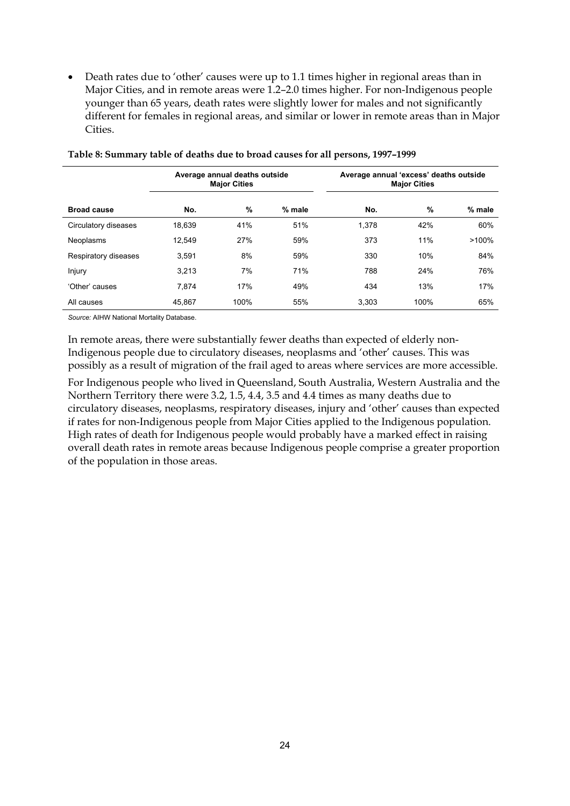Death rates due to 'other' causes were up to 1.1 times higher in regional areas than in Major Cities, and in remote areas were 1.2–2.0 times higher. For non-Indigenous people younger than 65 years, death rates were slightly lower for males and not significantly different for females in regional areas, and similar or lower in remote areas than in Major Cities.

|                      | Average annual deaths outside<br><b>Major Cities</b> |      |        | Average annual 'excess' deaths outside<br><b>Major Cities</b> |      |        |
|----------------------|------------------------------------------------------|------|--------|---------------------------------------------------------------|------|--------|
| <b>Broad cause</b>   | No.                                                  | %    | % male | No.                                                           | %    | % male |
| Circulatory diseases | 18,639                                               | 41%  | 51%    | 1,378                                                         | 42%  | 60%    |
| Neoplasms            | 12.549                                               | 27%  | 59%    | 373                                                           | 11%  | >100%  |
| Respiratory diseases | 3.591                                                | 8%   | 59%    | 330                                                           | 10%  | 84%    |
| Injury               | 3.213                                                | 7%   | 71%    | 788                                                           | 24%  | 76%    |
| 'Other' causes       | 7.874                                                | 17%  | 49%    | 434                                                           | 13%  | 17%    |
| All causes           | 45,867                                               | 100% | 55%    | 3.303                                                         | 100% | 65%    |

**Table 8: Summary table of deaths due to broad causes for all persons, 1997–1999**

*Source:* AIHW National Mortality Database.

In remote areas, there were substantially fewer deaths than expected of elderly non-Indigenous people due to circulatory diseases, neoplasms and 'other' causes. This was possibly as a result of migration of the frail aged to areas where services are more accessible.

For Indigenous people who lived in Queensland, South Australia, Western Australia and the Northern Territory there were 3.2, 1.5, 4.4, 3.5 and 4.4 times as many deaths due to circulatory diseases, neoplasms, respiratory diseases, injury and 'other' causes than expected if rates for non-Indigenous people from Major Cities applied to the Indigenous population. High rates of death for Indigenous people would probably have a marked effect in raising overall death rates in remote areas because Indigenous people comprise a greater proportion of the population in those areas.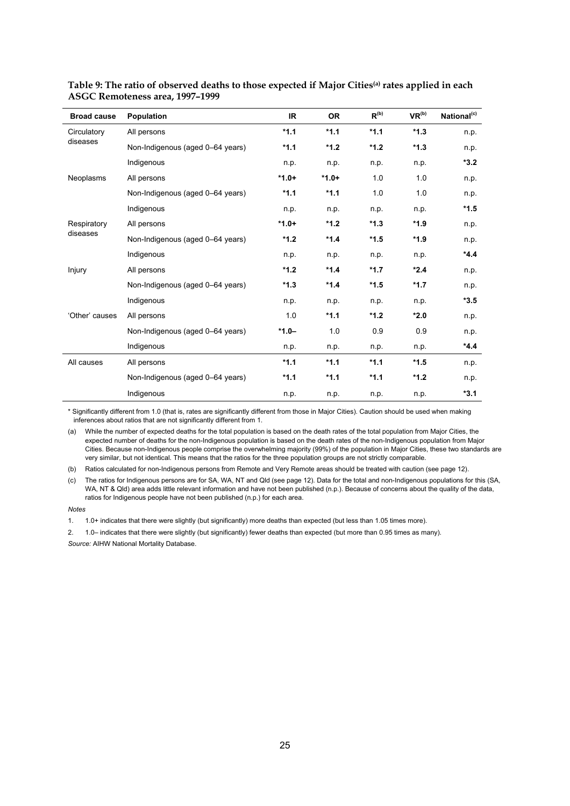| <b>Broad cause</b> | <b>Population</b>                | IR.     | <b>OR</b> | $R^{(b)}$ | VR <sup>(b)</sup> | National <sup>(c)</sup> |
|--------------------|----------------------------------|---------|-----------|-----------|-------------------|-------------------------|
| Circulatory        | All persons                      | $*1.1$  | $*1.1$    | $*1.1$    | $*1.3$            | n.p.                    |
| diseases           | Non-Indigenous (aged 0-64 years) | $*1.1$  | $*1.2$    | $*1.2$    | $*1.3$            | n.p.                    |
|                    | Indigenous                       | n.p.    | n.p.      | n.p.      | n.p.              | $*3.2$                  |
| Neoplasms          | All persons                      | $*1.0+$ | $*1.0+$   | 1.0       | 1.0               | n.p.                    |
|                    | Non-Indigenous (aged 0-64 years) | $*1.1$  | $*1.1$    | 1.0       | 1.0               | n.p.                    |
|                    | Indigenous                       | n.p.    | n.p.      | n.p.      | n.p.              | *1.5                    |
| Respiratory        | All persons                      | $*1.0+$ | $*1.2$    | $*1.3$    | $*1.9$            | n.p.                    |
| diseases           | Non-Indigenous (aged 0-64 years) | $*1.2$  | $*1.4$    | $*1.5$    | $*1.9$            | n.p.                    |
|                    | Indigenous                       | n.p.    | n.p.      | n.p.      | n.p.              | $*4.4$                  |
| Injury             | All persons                      | $*1.2$  | $*1.4$    | $*1.7$    | $*2.4$            | n.p.                    |
|                    | Non-Indigenous (aged 0-64 years) | $*1.3$  | $*1.4$    | $*1.5$    | $*1.7$            | n.p.                    |
|                    | Indigenous                       | n.p.    | n.p.      | n.p.      | n.p.              | $*3.5$                  |
| 'Other' causes     | All persons                      | 1.0     | $*1.1$    | $*1.2$    | $*2.0$            | n.p.                    |
|                    | Non-Indigenous (aged 0-64 years) | $*1.0-$ | 1.0       | 0.9       | 0.9               | n.p.                    |
|                    | Indigenous                       | n.p.    | n.p.      | n.p.      | n.p.              | $*4.4$                  |
| All causes         | All persons                      | $*1.1$  | $*1.1$    | $*1.1$    | $*1.5$            | n.p.                    |
|                    | Non-Indigenous (aged 0-64 years) | $*1.1$  | $*1.1$    | $*1.1$    | $*1.2$            | n.p.                    |
|                    | Indigenous                       | n.p.    | n.p.      | n.p.      | n.p.              | $*3.1$                  |

| Table 9: The ratio of observed deaths to those expected if Major Cities <sup>(a)</sup> rates applied in each |  |  |
|--------------------------------------------------------------------------------------------------------------|--|--|
| ASGC Remoteness area, 1997–1999                                                                              |  |  |

\* Significantly different from 1.0 (that is, rates are significantly different from those in Major Cities). Caution should be used when making inferences about ratios that are not significantly different from 1.

(a) While the number of expected deaths for the total population is based on the death rates of the total population from Major Cities, the expected number of deaths for the non-Indigenous population is based on the death rates of the non-Indigenous population from Major Cities. Because non-Indigenous people comprise the overwhelming majority (99%) of the population in Major Cities, these two standards are very similar, but not identical. This means that the ratios for the three population groups are not strictly comparable.

(b) Ratios calculated for non-Indigenous persons from Remote and Very Remote areas should be treated with caution (see page 12).

(c) The ratios for Indigenous persons are for SA, WA, NT and Qld (see page 12). Data for the total and non-Indigenous populations for this (SA, WA, NT & Qld) area adds little relevant information and have not been published (n.p.). Because of concerns about the quality of the data, ratios for Indigenous people have not been published (n.p.) for each area.

*Notes*

2. 1.0– indicates that there were slightly (but significantly) fewer deaths than expected (but more than 0.95 times as many). *Source:* AIHW National Mortality Database.

<sup>1. 1.0+</sup> indicates that there were slightly (but significantly) more deaths than expected (but less than 1.05 times more).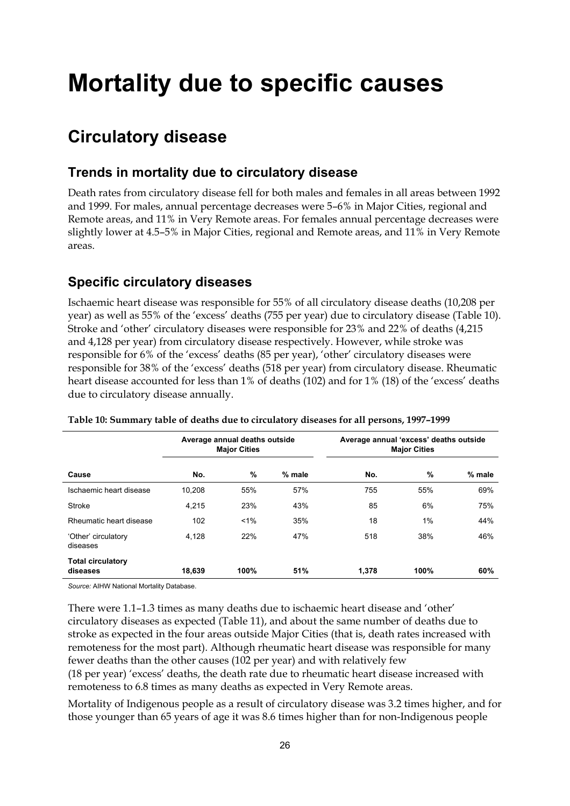## **Mortality due to specific causes**

## **Circulatory disease**

### **Trends in mortality due to circulatory disease**

Death rates from circulatory disease fell for both males and females in all areas between 1992 and 1999. For males, annual percentage decreases were 5–6% in Major Cities, regional and Remote areas, and 11% in Very Remote areas. For females annual percentage decreases were slightly lower at 4.5–5% in Major Cities, regional and Remote areas, and 11% in Very Remote areas.

### **Specific circulatory diseases**

Ischaemic heart disease was responsible for 55% of all circulatory disease deaths (10,208 per year) as well as 55% of the 'excess' deaths (755 per year) due to circulatory disease (Table 10). Stroke and 'other' circulatory diseases were responsible for 23% and 22% of deaths (4,215 and 4,128 per year) from circulatory disease respectively. However, while stroke was responsible for 6% of the 'excess' deaths (85 per year), 'other' circulatory diseases were responsible for 38% of the 'excess' deaths (518 per year) from circulatory disease. Rheumatic heart disease accounted for less than 1% of deaths (102) and for 1% (18) of the 'excess' deaths due to circulatory disease annually.

|                                      |        | Average annual deaths outside<br><b>Major Cities</b> |        | Average annual 'excess' deaths outside<br><b>Major Cities</b> |      |        |
|--------------------------------------|--------|------------------------------------------------------|--------|---------------------------------------------------------------|------|--------|
| Cause                                | No.    | $\%$                                                 | % male | No.                                                           | $\%$ | % male |
| Ischaemic heart disease              | 10.208 | 55%                                                  | 57%    | 755                                                           | 55%  | 69%    |
| Stroke                               | 4,215  | 23%                                                  | 43%    | 85                                                            | 6%   | 75%    |
| Rheumatic heart disease              | 102    | 1%                                                   | 35%    | 18                                                            | 1%   | 44%    |
| 'Other' circulatory<br>diseases      | 4,128  | 22%                                                  | 47%    | 518                                                           | 38%  | 46%    |
| <b>Total circulatory</b><br>diseases | 18,639 | 100%                                                 | 51%    | 1,378                                                         | 100% | 60%    |

**Table 10: Summary table of deaths due to circulatory diseases for all persons, 1997–1999**

*Source:* AIHW National Mortality Database.

There were 1.1–1.3 times as many deaths due to ischaemic heart disease and 'other' circulatory diseases as expected (Table 11), and about the same number of deaths due to stroke as expected in the four areas outside Major Cities (that is, death rates increased with remoteness for the most part). Although rheumatic heart disease was responsible for many fewer deaths than the other causes (102 per year) and with relatively few (18 per year) 'excess' deaths, the death rate due to rheumatic heart disease increased with remoteness to 6.8 times as many deaths as expected in Very Remote areas.

Mortality of Indigenous people as a result of circulatory disease was 3.2 times higher, and for those younger than 65 years of age it was 8.6 times higher than for non-Indigenous people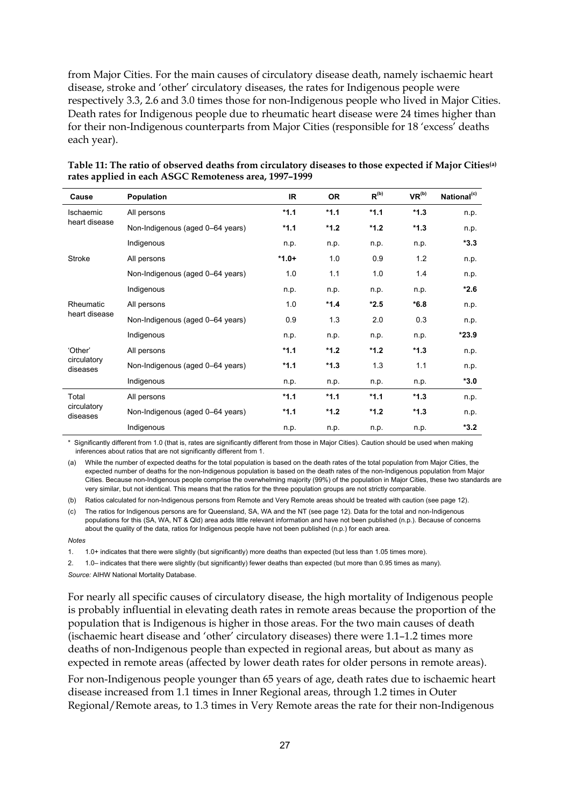from Major Cities. For the main causes of circulatory disease death, namely ischaemic heart disease, stroke and 'other' circulatory diseases, the rates for Indigenous people were respectively 3.3, 2.6 and 3.0 times those for non-Indigenous people who lived in Major Cities. Death rates for Indigenous people due to rheumatic heart disease were 24 times higher than for their non-Indigenous counterparts from Major Cities (responsible for 18 'excess' deaths each year).

| Cause                   | <b>Population</b>                | IR.     | <b>OR</b> | $R^{(b)}$ | VR <sup>(b)</sup> | National <sup>(c)</sup> |
|-------------------------|----------------------------------|---------|-----------|-----------|-------------------|-------------------------|
| Ischaemic               | All persons                      | $*1.1$  | $*1.1$    | $*1.1$    | $*1.3$            | n.p.                    |
| heart disease           | Non-Indigenous (aged 0-64 years) | $*1.1$  | $*1.2$    | $*1.2$    | $*1.3$            | n.p.                    |
|                         | Indigenous                       | n.p.    | n.p.      | n.p.      | n.p.              | $*3.3$                  |
| Stroke                  | All persons                      | $*1.0+$ | 1.0       | 0.9       | 1.2               | n.p.                    |
|                         | Non-Indigenous (aged 0-64 years) | 1.0     | 1.1       | 1.0       | 1.4               | n.p.                    |
|                         | Indigenous                       | n.p.    | n.p.      | n.p.      | n.p.              | $*2.6$                  |
| Rheumatic               | All persons                      | 1.0     | $*1.4$    | $*2.5$    | $*6.8$            | n.p.                    |
| heart disease           | Non-Indigenous (aged 0-64 years) | 0.9     | 1.3       | 2.0       | 0.3               | n.p.                    |
|                         | Indigenous                       | n.p.    | n.p.      | n.p.      | n.p.              | $*23.9$                 |
| 'Other'                 | All persons                      | $*1.1$  | $*1.2$    | $*1.2$    | $*1.3$            | n.p.                    |
| circulatory<br>diseases | Non-Indigenous (aged 0-64 years) | $*1.1$  | $*1.3$    | 1.3       | 1.1               | n.p.                    |
|                         | Indigenous                       | n.p.    | n.p.      | n.p.      | n.p.              | $*3.0$                  |
| Total                   | All persons                      | $*1.1$  | $*1.1$    | $*1.1$    | $*1.3$            | n.p.                    |
| circulatory<br>diseases | Non-Indigenous (aged 0-64 years) | $*1.1$  | $*1.2$    | $*1.2$    | $*1.3$            | n.p.                    |
|                         | Indigenous                       | n.p.    | n.p.      | n.p.      | n.p.              | $*3.2$                  |

#### **Table 11: The ratio of observed deaths from circulatory diseases to those expected if Major Cities(a) rates applied in each ASGC Remoteness area, 1997–1999**

\* Significantly different from 1.0 (that is, rates are significantly different from those in Major Cities). Caution should be used when making inferences about ratios that are not significantly different from 1.

(a) While the number of expected deaths for the total population is based on the death rates of the total population from Major Cities, the expected number of deaths for the non-Indigenous population is based on the death rates of the non-Indigenous population from Major Cities. Because non-Indigenous people comprise the overwhelming majority (99%) of the population in Major Cities, these two standards are very similar, but not identical. This means that the ratios for the three population groups are not strictly comparable.

(b) Ratios calculated for non-Indigenous persons from Remote and Very Remote areas should be treated with caution (see page 12).

(c) The ratios for Indigenous persons are for Queensland, SA, WA and the NT (see page 12). Data for the total and non-Indigenous populations for this (SA, WA, NT & Qld) area adds little relevant information and have not been published (n.p.). Because of concerns about the quality of the data, ratios for Indigenous people have not been published (n.p.) for each area.

*Notes*

1. 1.0+ indicates that there were slightly (but significantly) more deaths than expected (but less than 1.05 times more).

2. 1.0– indicates that there were slightly (but significantly) fewer deaths than expected (but more than 0.95 times as many). *Source:* AIHW National Mortality Database.

For nearly all specific causes of circulatory disease, the high mortality of Indigenous people is probably influential in elevating death rates in remote areas because the proportion of the population that is Indigenous is higher in those areas. For the two main causes of death (ischaemic heart disease and 'other' circulatory diseases) there were 1.1–1.2 times more deaths of non-Indigenous people than expected in regional areas, but about as many as expected in remote areas (affected by lower death rates for older persons in remote areas).

For non-Indigenous people younger than 65 years of age, death rates due to ischaemic heart disease increased from 1.1 times in Inner Regional areas, through 1.2 times in Outer Regional/Remote areas, to 1.3 times in Very Remote areas the rate for their non-Indigenous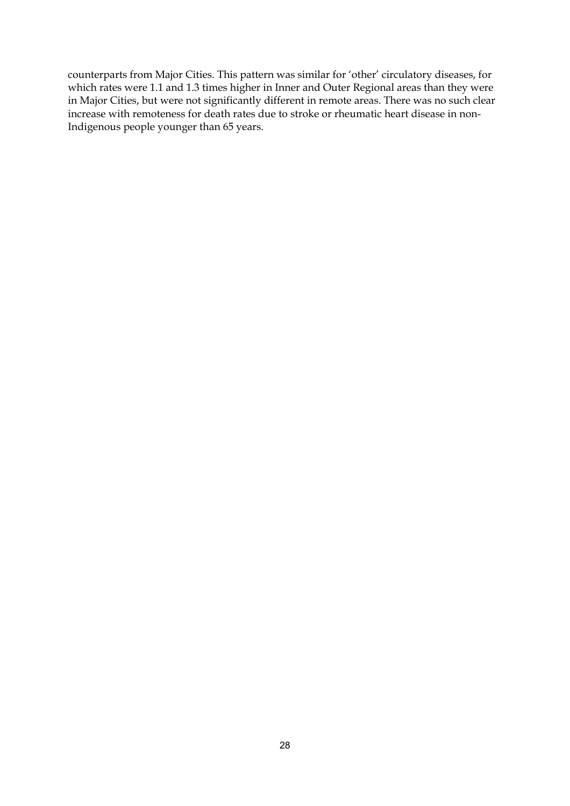counterparts from Major Cities. This pattern was similar for 'other' circulatory diseases, for which rates were 1.1 and 1.3 times higher in Inner and Outer Regional areas than they were in Major Cities, but were not significantly different in remote areas. There was no such clear increase with remoteness for death rates due to stroke or rheumatic heart disease in non-Indigenous people younger than 65 years.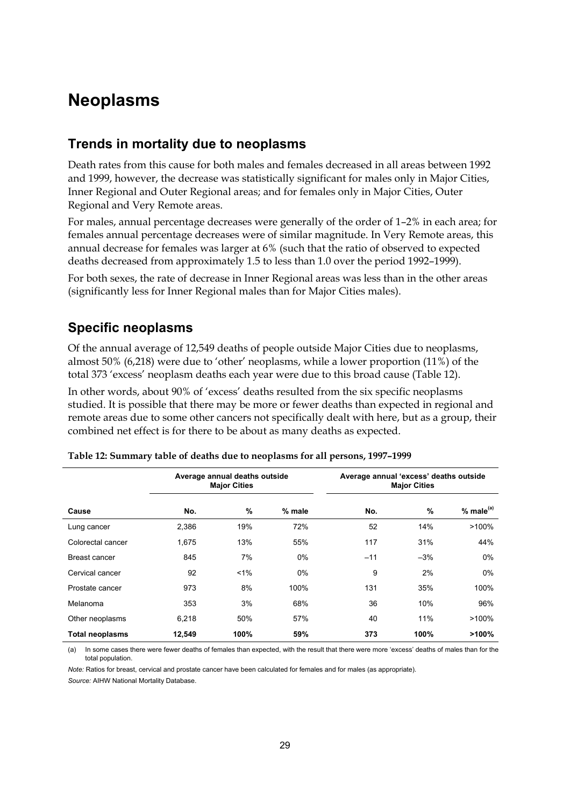### **Neoplasms**

#### **Trends in mortality due to neoplasms**

Death rates from this cause for both males and females decreased in all areas between 1992 and 1999, however, the decrease was statistically significant for males only in Major Cities, Inner Regional and Outer Regional areas; and for females only in Major Cities, Outer Regional and Very Remote areas.

For males, annual percentage decreases were generally of the order of 1–2% in each area; for females annual percentage decreases were of similar magnitude. In Very Remote areas, this annual decrease for females was larger at 6% (such that the ratio of observed to expected deaths decreased from approximately 1.5 to less than 1.0 over the period 1992–1999).

For both sexes, the rate of decrease in Inner Regional areas was less than in the other areas (significantly less for Inner Regional males than for Major Cities males).

#### **Specific neoplasms**

Of the annual average of 12,549 deaths of people outside Major Cities due to neoplasms, almost 50% (6,218) were due to 'other' neoplasms, while a lower proportion (11%) of the total 373 'excess' neoplasm deaths each year were due to this broad cause (Table 12).

In other words, about 90% of 'excess' deaths resulted from the six specific neoplasms studied. It is possible that there may be more or fewer deaths than expected in regional and remote areas due to some other cancers not specifically dealt with here, but as a group, their combined net effect is for there to be about as many deaths as expected.

|                        |        | Average annual deaths outside<br><b>Major Cities</b> |          | Average annual 'excess' deaths outside<br><b>Major Cities</b> |       |                       |  |
|------------------------|--------|------------------------------------------------------|----------|---------------------------------------------------------------|-------|-----------------------|--|
| Cause                  | No.    | %                                                    | $%$ male | No.                                                           | %     | % male <sup>(a)</sup> |  |
| Lung cancer            | 2,386  | 19%                                                  | 72%      | 52                                                            | 14%   | >100%                 |  |
| Colorectal cancer      | 1,675  | 13%                                                  | 55%      | 117                                                           | 31%   | 44%                   |  |
| Breast cancer          | 845    | 7%                                                   | $0\%$    | $-11$                                                         | $-3%$ | 0%                    |  |
| Cervical cancer        | 92     | $1\%$                                                | $0\%$    | 9                                                             | 2%    | $0\%$                 |  |
| Prostate cancer        | 973    | 8%                                                   | 100%     | 131                                                           | 35%   | 100%                  |  |
| Melanoma               | 353    | 3%                                                   | 68%      | 36                                                            | 10%   | 96%                   |  |
| Other neoplasms        | 6,218  | 50%                                                  | 57%      | 40                                                            | 11%   | $>100\%$              |  |
| <b>Total neoplasms</b> | 12,549 | 100%                                                 | 59%      | 373                                                           | 100%  | >100%                 |  |

| Table 12: Summary table of deaths due to neoplasms for all persons, 1997–1999 |  |  |  |
|-------------------------------------------------------------------------------|--|--|--|
|-------------------------------------------------------------------------------|--|--|--|

(a) In some cases there were fewer deaths of females than expected, with the result that there were more 'excess' deaths of males than for the total population.

*Note: Ratios for breast, cervical and prostate cancer have been calculated for females and for males (as appropriate). Source:* AIHW National Mortality Database.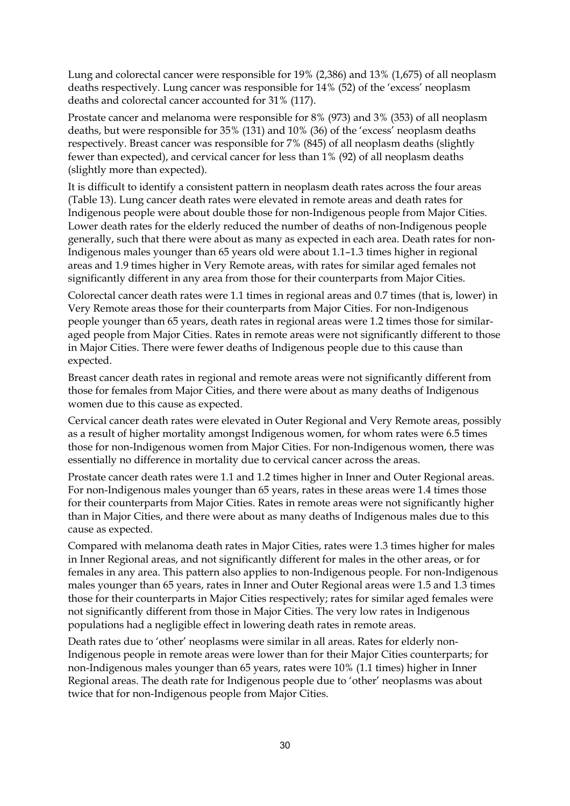Lung and colorectal cancer were responsible for 19% (2,386) and 13% (1,675) of all neoplasm deaths respectively. Lung cancer was responsible for 14% (52) of the 'excess' neoplasm deaths and colorectal cancer accounted for 31% (117).

Prostate cancer and melanoma were responsible for 8% (973) and 3% (353) of all neoplasm deaths, but were responsible for 35% (131) and 10% (36) of the 'excess' neoplasm deaths respectively. Breast cancer was responsible for 7% (845) of all neoplasm deaths (slightly fewer than expected), and cervical cancer for less than 1% (92) of all neoplasm deaths (slightly more than expected).

It is difficult to identify a consistent pattern in neoplasm death rates across the four areas (Table 13). Lung cancer death rates were elevated in remote areas and death rates for Indigenous people were about double those for non-Indigenous people from Major Cities. Lower death rates for the elderly reduced the number of deaths of non-Indigenous people generally, such that there were about as many as expected in each area. Death rates for non-Indigenous males younger than 65 years old were about 1.1–1.3 times higher in regional areas and 1.9 times higher in Very Remote areas, with rates for similar aged females not significantly different in any area from those for their counterparts from Major Cities.

Colorectal cancer death rates were 1.1 times in regional areas and 0.7 times (that is, lower) in Very Remote areas those for their counterparts from Major Cities. For non-Indigenous people younger than 65 years, death rates in regional areas were 1.2 times those for similaraged people from Major Cities. Rates in remote areas were not significantly different to those in Major Cities. There were fewer deaths of Indigenous people due to this cause than expected.

Breast cancer death rates in regional and remote areas were not significantly different from those for females from Major Cities, and there were about as many deaths of Indigenous women due to this cause as expected.

Cervical cancer death rates were elevated in Outer Regional and Very Remote areas, possibly as a result of higher mortality amongst Indigenous women, for whom rates were 6.5 times those for non-Indigenous women from Major Cities. For non-Indigenous women, there was essentially no difference in mortality due to cervical cancer across the areas.

Prostate cancer death rates were 1.1 and 1.2 times higher in Inner and Outer Regional areas. For non-Indigenous males younger than 65 years, rates in these areas were 1.4 times those for their counterparts from Major Cities. Rates in remote areas were not significantly higher than in Major Cities, and there were about as many deaths of Indigenous males due to this cause as expected.

Compared with melanoma death rates in Major Cities, rates were 1.3 times higher for males in Inner Regional areas, and not significantly different for males in the other areas, or for females in any area. This pattern also applies to non-Indigenous people. For non-Indigenous males younger than 65 years, rates in Inner and Outer Regional areas were 1.5 and 1.3 times those for their counterparts in Major Cities respectively; rates for similar aged females were not significantly different from those in Major Cities. The very low rates in Indigenous populations had a negligible effect in lowering death rates in remote areas.

Death rates due to 'other' neoplasms were similar in all areas. Rates for elderly non-Indigenous people in remote areas were lower than for their Major Cities counterparts; for non-Indigenous males younger than 65 years, rates were 10% (1.1 times) higher in Inner Regional areas. The death rate for Indigenous people due to 'other' neoplasms was about twice that for non-Indigenous people from Major Cities.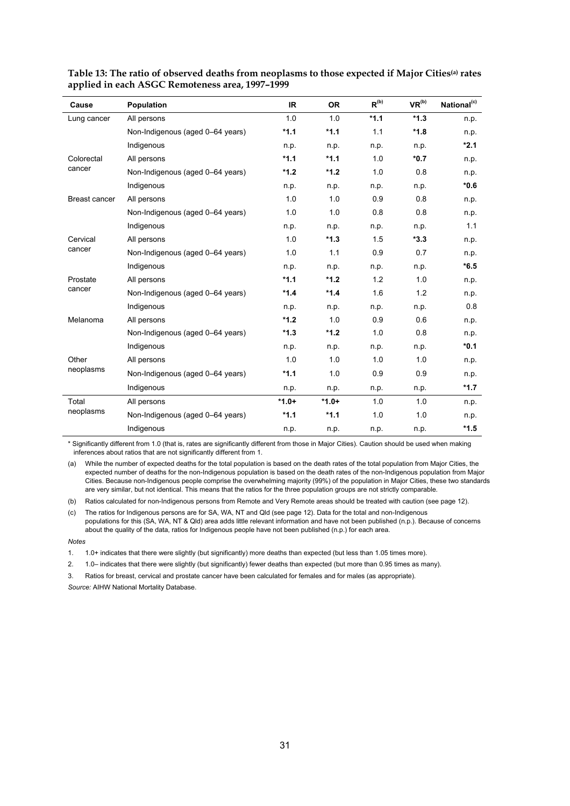| Cause         | <b>Population</b>                | IR.     | <b>OR</b> | $R^{(b)}$ | VR <sup>(b)</sup> | National <sup>(c)</sup> |
|---------------|----------------------------------|---------|-----------|-----------|-------------------|-------------------------|
| Lung cancer   | All persons                      | 1.0     | 1.0       | $*1.1$    | $*1.3$            | n.p.                    |
|               | Non-Indigenous (aged 0-64 years) | $*1.1$  | $*1.1$    | 1.1       | $*1.8$            | n.p.                    |
|               | Indigenous                       | n.p.    | n.p.      | n.p.      | n.p.              | $*2.1$                  |
| Colorectal    | All persons                      | $*1.1$  | $*1.1$    | 1.0       | $*0.7$            | n.p.                    |
| cancer        | Non-Indigenous (aged 0-64 years) | $*1.2$  | $*1.2$    | 1.0       | 0.8               | n.p.                    |
|               | Indigenous                       | n.p.    | n.p.      | n.p.      | n.p.              | $*0.6$                  |
| Breast cancer | All persons                      | 1.0     | 1.0       | 0.9       | 0.8               | n.p.                    |
|               | Non-Indigenous (aged 0-64 years) | 1.0     | 1.0       | 0.8       | 0.8               | n.p.                    |
|               | Indigenous                       | n.p.    | n.p.      | n.p.      | n.p.              | 1.1                     |
| Cervical      | All persons                      | 1.0     | $*1.3$    | 1.5       | $*3.3$            | n.p.                    |
| cancer        | Non-Indigenous (aged 0-64 years) | 1.0     | 1.1       | 0.9       | 0.7               | n.p.                    |
|               | Indigenous                       | n.p.    | n.p.      | n.p.      | n.p.              | $*6.5$                  |
| Prostate      | All persons                      | $*1.1$  | $*1.2$    | 1.2       | 1.0               | n.p.                    |
| cancer        | Non-Indigenous (aged 0-64 years) | $*1.4$  | $*1.4$    | 1.6       | 1.2               | n.p.                    |
|               | Indigenous                       | n.p.    | n.p.      | n.p.      | n.p.              | 0.8                     |
| Melanoma      | All persons                      | $*1.2$  | 1.0       | 0.9       | 0.6               | n.p.                    |
|               | Non-Indigenous (aged 0-64 years) | $*1.3$  | $*1.2$    | 1.0       | 0.8               | n.p.                    |
|               | Indigenous                       | n.p.    | n.p.      | n.p.      | n.p.              | $*0.1$                  |
| Other         | All persons                      | 1.0     | 1.0       | 1.0       | 1.0               | n.p.                    |
| neoplasms     | Non-Indigenous (aged 0-64 years) | $*1.1$  | 1.0       | 0.9       | 0.9               | n.p.                    |
|               | Indigenous                       | n.p.    | n.p.      | n.p.      | n.p.              | $*1.7$                  |
| Total         | All persons                      | $*1.0+$ | $*1.0+$   | 1.0       | 1.0               | n.p.                    |
| neoplasms     | Non-Indigenous (aged 0-64 years) | $*1.1$  | $*1.1$    | 1.0       | 1.0               | n.p.                    |
|               | Indigenous                       | n.p.    | n.p.      | n.p.      | n.p.              | $*1.5$                  |

| Table 13: The ratio of observed deaths from neoplasms to those expected if Major Cities <sup>(a)</sup> rates |  |
|--------------------------------------------------------------------------------------------------------------|--|
| applied in each ASGC Remoteness area, 1997-1999                                                              |  |

\* Significantly different from 1.0 (that is, rates are significantly different from those in Major Cities). Caution should be used when making inferences about ratios that are not significantly different from 1.

(a) While the number of expected deaths for the total population is based on the death rates of the total population from Major Cities, the expected number of deaths for the non-Indigenous population is based on the death rates of the non-Indigenous population from Major Cities. Because non-Indigenous people comprise the overwhelming majority (99%) of the population in Major Cities, these two standards are very similar, but not identical. This means that the ratios for the three population groups are not strictly comparable.

(b) Ratios calculated for non-Indigenous persons from Remote and Very Remote areas should be treated with caution (see page 12).

(c) The ratios for Indigenous persons are for SA, WA, NT and Qld (see page 12). Data for the total and non-Indigenous populations for this (SA, WA, NT & Qld) area adds little relevant information and have not been published (n.p.). Because of concerns about the quality of the data, ratios for Indigenous people have not been published (n.p.) for each area.

*Notes*

1. 1.0+ indicates that there were slightly (but significantly) more deaths than expected (but less than 1.05 times more).

2. 1.0– indicates that there were slightly (but significantly) fewer deaths than expected (but more than 0.95 times as many).

3. Ratios for breast, cervical and prostate cancer have been calculated for females and for males (as appropriate).

*Source:* AIHW National Mortality Database.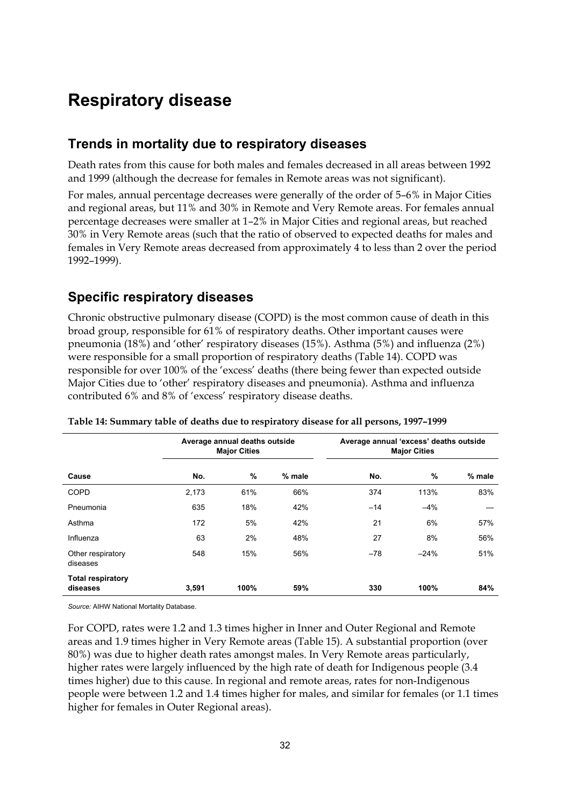### **Respiratory disease**

#### **Trends in mortality due to respiratory diseases**

Death rates from this cause for both males and females decreased in all areas between 1992 and 1999 (although the decrease for females in Remote areas was not significant).

For males, annual percentage decreases were generally of the order of 5–6% in Major Cities and regional areas, but 11% and 30% in Remote and Very Remote areas. For females annual percentage decreases were smaller at 1–2% in Major Cities and regional areas, but reached 30% in Very Remote areas (such that the ratio of observed to expected deaths for males and females in Very Remote areas decreased from approximately 4 to less than 2 over the period 1992–1999).

#### **Specific respiratory diseases**

Chronic obstructive pulmonary disease (COPD) is the most common cause of death in this broad group, responsible for 61% of respiratory deaths. Other important causes were pneumonia (18%) and 'other' respiratory diseases (15%). Asthma (5%) and influenza (2%) were responsible for a small proportion of respiratory deaths (Table 14). COPD was responsible for over 100% of the 'excess' deaths (there being fewer than expected outside Major Cities due to 'other' respiratory diseases and pneumonia). Asthma and influenza contributed 6% and 8% of 'excess' respiratory disease deaths.

|                                      |       | Average annual deaths outside<br><b>Major Cities</b> |        |       | Average annual 'excess' deaths outside<br><b>Major Cities</b> |        |  |
|--------------------------------------|-------|------------------------------------------------------|--------|-------|---------------------------------------------------------------|--------|--|
| Cause                                | No.   | $\%$                                                 | % male | No.   | %                                                             | % male |  |
| <b>COPD</b>                          | 2,173 | 61%                                                  | 66%    | 374   | 113%                                                          | 83%    |  |
| Pneumonia                            | 635   | 18%                                                  | 42%    | $-14$ | $-4%$                                                         |        |  |
| Asthma                               | 172   | 5%                                                   | 42%    | 21    | 6%                                                            | 57%    |  |
| Influenza                            | 63    | 2%                                                   | 48%    | 27    | 8%                                                            | 56%    |  |
| Other respiratory<br>diseases        | 548   | 15%                                                  | 56%    | $-78$ | $-24%$                                                        | 51%    |  |
| <b>Total respiratory</b><br>diseases | 3,591 | 100%                                                 | 59%    | 330   | 100%                                                          | 84%    |  |

**Table 14: Summary table of deaths due to respiratory disease for all persons, 1997–1999**

*Source:* AIHW National Mortality Database.

For COPD, rates were 1.2 and 1.3 times higher in Inner and Outer Regional and Remote areas and 1.9 times higher in Very Remote areas (Table 15). A substantial proportion (over 80%) was due to higher death rates amongst males. In Very Remote areas particularly, higher rates were largely influenced by the high rate of death for Indigenous people (3.4 times higher) due to this cause. In regional and remote areas, rates for non-Indigenous people were between 1.2 and 1.4 times higher for males, and similar for females (or 1.1 times higher for females in Outer Regional areas).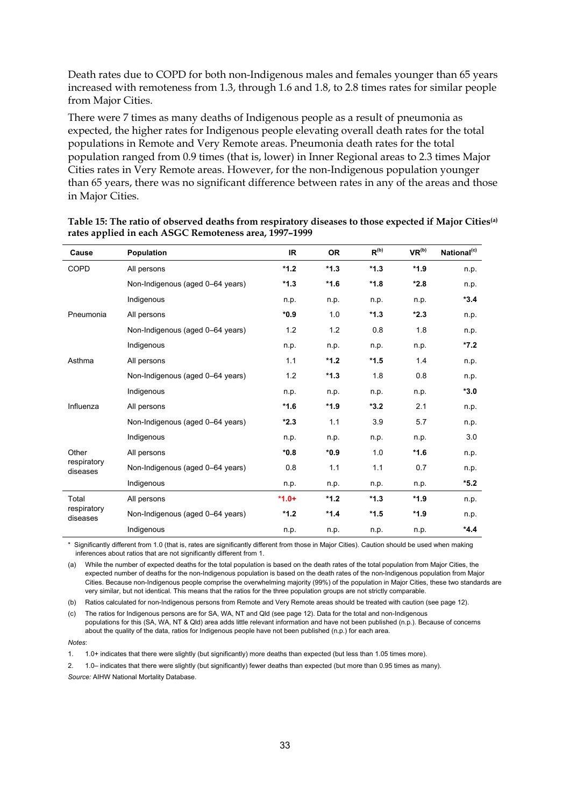Death rates due to COPD for both non-Indigenous males and females younger than 65 years increased with remoteness from 1.3, through 1.6 and 1.8, to 2.8 times rates for similar people from Major Cities.

There were 7 times as many deaths of Indigenous people as a result of pneumonia as expected, the higher rates for Indigenous people elevating overall death rates for the total populations in Remote and Very Remote areas. Pneumonia death rates for the total population ranged from 0.9 times (that is, lower) in Inner Regional areas to 2.3 times Major Cities rates in Very Remote areas. However, for the non-Indigenous population younger than 65 years, there was no significant difference between rates in any of the areas and those in Major Cities.

| Cause                   | Population                       | <b>IR</b> | <b>OR</b> | $R^{(b)}$ | VR <sup>(b)</sup> | National <sup>(c)</sup> |
|-------------------------|----------------------------------|-----------|-----------|-----------|-------------------|-------------------------|
| <b>COPD</b>             | All persons                      | $*1.2$    | $*1.3$    | $*1.3$    | $*1.9$            | n.p.                    |
|                         | Non-Indigenous (aged 0-64 years) | $*1.3$    | $*1.6$    | $*1.8$    | $*2.8$            | n.p.                    |
|                         | Indigenous                       | n.p.      | n.p.      | n.p.      | n.p.              | $*3.4$                  |
| Pneumonia               | All persons                      | $*0.9$    | 1.0       | $*1.3$    | $*2.3$            | n.p.                    |
|                         | Non-Indigenous (aged 0-64 years) | 1.2       | 1.2       | 0.8       | 1.8               | n.p.                    |
|                         | Indigenous                       | n.p.      | n.p.      | n.p.      | n.p.              | $*7.2$                  |
| Asthma                  | All persons                      | 1.1       | $*1.2$    | $*1.5$    | 1.4               | n.p.                    |
|                         | Non-Indigenous (aged 0-64 years) | 1.2       | $*1.3$    | 1.8       | 0.8               | n.p.                    |
|                         | Indigenous                       | n.p.      | n.p.      | n.p.      | n.p.              | $*3.0$                  |
| Influenza               | All persons                      | $*1.6$    | $*1.9$    | $*3.2$    | 2.1               | n.p.                    |
|                         | Non-Indigenous (aged 0-64 years) | $*2.3$    | 1.1       | 3.9       | 5.7               | n.p.                    |
|                         | Indigenous                       | n.p.      | n.p.      | n.p.      | n.p.              | 3.0                     |
| Other                   | All persons                      | $*0.8$    | $*0.9$    | 1.0       | $*1.6$            | n.p.                    |
| respiratory<br>diseases | Non-Indigenous (aged 0-64 years) | 0.8       | 1.1       | 1.1       | 0.7               | n.p.                    |
|                         | Indigenous                       | n.p.      | n.p.      | n.p.      | n.p.              | $*_{5.2}$               |
| Total                   | All persons                      | $*1.0+$   | $*1.2$    | $*1.3$    | $*1.9$            | n.p.                    |
| respiratory<br>diseases | Non-Indigenous (aged 0-64 years) | $*1.2$    | $*1.4$    | $*1.5$    | $*1.9$            | n.p.                    |
|                         | Indigenous                       | n.p.      | n.p.      | n.p.      | n.p.              | $*4.4$                  |

| Table 15: The ratio of observed deaths from respiratory diseases to those expected if Major Cities <sup>(a)</sup> |  |
|-------------------------------------------------------------------------------------------------------------------|--|
| rates applied in each ASGC Remoteness area, 1997–1999                                                             |  |

\* Significantly different from 1.0 (that is, rates are significantly different from those in Major Cities). Caution should be used when making inferences about ratios that are not significantly different from 1.

(a) While the number of expected deaths for the total population is based on the death rates of the total population from Major Cities, the expected number of deaths for the non-Indigenous population is based on the death rates of the non-Indigenous population from Major Cities. Because non-Indigenous people comprise the overwhelming majority (99%) of the population in Major Cities, these two standards are very similar, but not identical. This means that the ratios for the three population groups are not strictly comparable.

(b) Ratios calculated for non-Indigenous persons from Remote and Very Remote areas should be treated with caution (see page 12).

(c) The ratios for Indigenous persons are for SA, WA, NT and Qld (see page 12). Data for the total and non-Indigenous populations for this (SA, WA, NT & Qld) area adds little relevant information and have not been published (n.p.). Because of concerns about the quality of the data, ratios for Indigenous people have not been published (n.p.) for each area.

*Notes*:

1. 1.0+ indicates that there were slightly (but significantly) more deaths than expected (but less than 1.05 times more).

2. 1.0– indicates that there were slightly (but significantly) fewer deaths than expected (but more than 0.95 times as many). *Source:* AIHW National Mortality Database.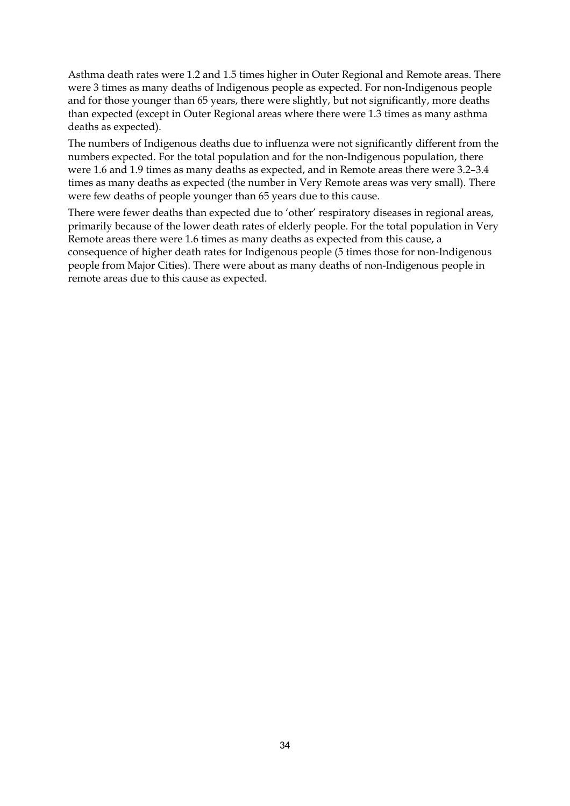Asthma death rates were 1.2 and 1.5 times higher in Outer Regional and Remote areas. There were 3 times as many deaths of Indigenous people as expected. For non-Indigenous people and for those younger than 65 years, there were slightly, but not significantly, more deaths than expected (except in Outer Regional areas where there were 1.3 times as many asthma deaths as expected).

The numbers of Indigenous deaths due to influenza were not significantly different from the numbers expected. For the total population and for the non-Indigenous population, there were 1.6 and 1.9 times as many deaths as expected, and in Remote areas there were 3.2–3.4 times as many deaths as expected (the number in Very Remote areas was very small). There were few deaths of people younger than 65 years due to this cause.

There were fewer deaths than expected due to 'other' respiratory diseases in regional areas, primarily because of the lower death rates of elderly people. For the total population in Very Remote areas there were 1.6 times as many deaths as expected from this cause, a consequence of higher death rates for Indigenous people (5 times those for non-Indigenous people from Major Cities). There were about as many deaths of non-Indigenous people in remote areas due to this cause as expected.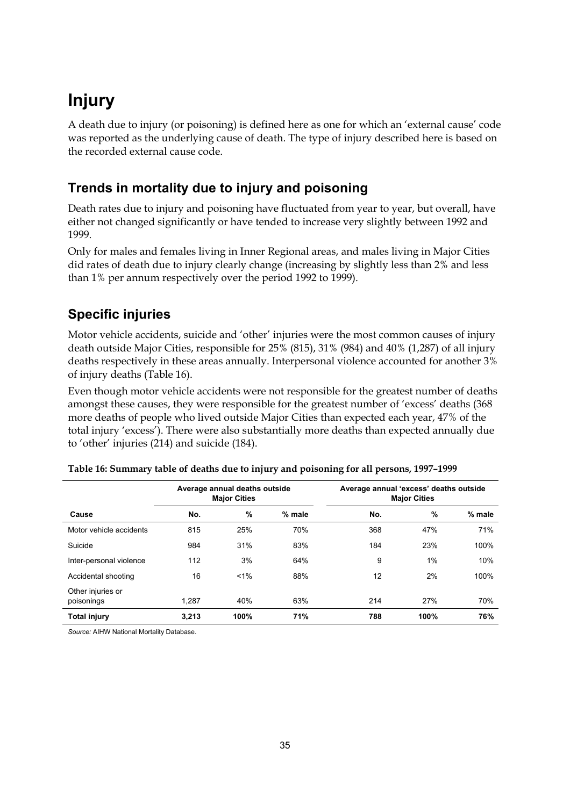## **Injury**

A death due to injury (or poisoning) is defined here as one for which an 'external cause' code was reported as the underlying cause of death. The type of injury described here is based on the recorded external cause code.

### **Trends in mortality due to injury and poisoning**

Death rates due to injury and poisoning have fluctuated from year to year, but overall, have either not changed significantly or have tended to increase very slightly between 1992 and 1999.

Only for males and females living in Inner Regional areas, and males living in Major Cities did rates of death due to injury clearly change (increasing by slightly less than 2% and less than 1% per annum respectively over the period 1992 to 1999).

### **Specific injuries**

Motor vehicle accidents, suicide and 'other' injuries were the most common causes of injury death outside Major Cities, responsible for 25% (815), 31% (984) and 40% (1,287) of all injury deaths respectively in these areas annually. Interpersonal violence accounted for another 3% of injury deaths (Table 16).

Even though motor vehicle accidents were not responsible for the greatest number of deaths amongst these causes, they were responsible for the greatest number of 'excess' deaths (368 more deaths of people who lived outside Major Cities than expected each year, 47% of the total injury 'excess'). There were also substantially more deaths than expected annually due to 'other' injuries (214) and suicide (184).

|                                 | Average annual deaths outside<br><b>Major Cities</b> |      |        | Average annual 'excess' deaths outside<br><b>Major Cities</b> |       |        |
|---------------------------------|------------------------------------------------------|------|--------|---------------------------------------------------------------|-------|--------|
| Cause                           | No.                                                  | %    | % male | No.                                                           | $\%$  | % male |
| Motor vehicle accidents         | 815                                                  | 25%  | 70%    | 368                                                           | 47%   | 71%    |
| Suicide                         | 984                                                  | 31%  | 83%    | 184                                                           | 23%   | 100%   |
| Inter-personal violence         | 112                                                  | 3%   | 64%    | 9                                                             | $1\%$ | 10%    |
| Accidental shooting             | 16                                                   | 1%   | 88%    | 12                                                            | 2%    | 100%   |
| Other injuries or<br>poisonings | 1.287                                                | 40%  | 63%    | 214                                                           | 27%   | 70%    |
| Total injury                    | 3.213                                                | 100% | 71%    | 788                                                           | 100%  | 76%    |

| Table 16: Summary table of deaths due to injury and poisoning for all persons, 1997-1999 |  |  |
|------------------------------------------------------------------------------------------|--|--|
|                                                                                          |  |  |

*Source:* AIHW National Mortality Database.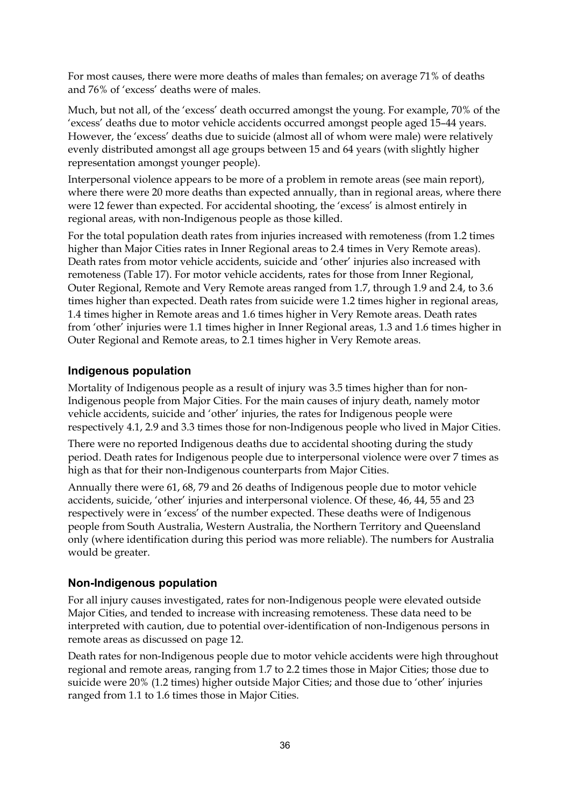For most causes, there were more deaths of males than females; on average 71% of deaths and 76% of 'excess' deaths were of males.

Much, but not all, of the 'excess' death occurred amongst the young. For example, 70% of the 'excess' deaths due to motor vehicle accidents occurred amongst people aged 15–44 years. However, the 'excess' deaths due to suicide (almost all of whom were male) were relatively evenly distributed amongst all age groups between 15 and 64 years (with slightly higher representation amongst younger people).

Interpersonal violence appears to be more of a problem in remote areas (see main report), where there were 20 more deaths than expected annually, than in regional areas, where there were 12 fewer than expected. For accidental shooting, the 'excess' is almost entirely in regional areas, with non-Indigenous people as those killed.

For the total population death rates from injuries increased with remoteness (from 1.2 times higher than Major Cities rates in Inner Regional areas to 2.4 times in Very Remote areas). Death rates from motor vehicle accidents, suicide and 'other' injuries also increased with remoteness (Table 17). For motor vehicle accidents, rates for those from Inner Regional, Outer Regional, Remote and Very Remote areas ranged from 1.7, through 1.9 and 2.4, to 3.6 times higher than expected. Death rates from suicide were 1.2 times higher in regional areas, 1.4 times higher in Remote areas and 1.6 times higher in Very Remote areas. Death rates from 'other' injuries were 1.1 times higher in Inner Regional areas, 1.3 and 1.6 times higher in Outer Regional and Remote areas, to 2.1 times higher in Very Remote areas.

#### **Indigenous population**

Mortality of Indigenous people as a result of injury was 3.5 times higher than for non-Indigenous people from Major Cities. For the main causes of injury death, namely motor vehicle accidents, suicide and 'other' injuries, the rates for Indigenous people were respectively 4.1, 2.9 and 3.3 times those for non-Indigenous people who lived in Major Cities.

There were no reported Indigenous deaths due to accidental shooting during the study period. Death rates for Indigenous people due to interpersonal violence were over 7 times as high as that for their non-Indigenous counterparts from Major Cities.

Annually there were 61, 68, 79 and 26 deaths of Indigenous people due to motor vehicle accidents, suicide, 'other' injuries and interpersonal violence. Of these, 46, 44, 55 and 23 respectively were in 'excess' of the number expected. These deaths were of Indigenous people from South Australia, Western Australia, the Northern Territory and Queensland only (where identification during this period was more reliable). The numbers for Australia would be greater.

#### **Non-Indigenous population**

For all injury causes investigated, rates for non-Indigenous people were elevated outside Major Cities, and tended to increase with increasing remoteness. These data need to be interpreted with caution, due to potential over-identification of non-Indigenous persons in remote areas as discussed on page 12.

Death rates for non-Indigenous people due to motor vehicle accidents were high throughout regional and remote areas, ranging from 1.7 to 2.2 times those in Major Cities; those due to suicide were 20% (1.2 times) higher outside Major Cities; and those due to 'other' injuries ranged from 1.1 to 1.6 times those in Major Cities.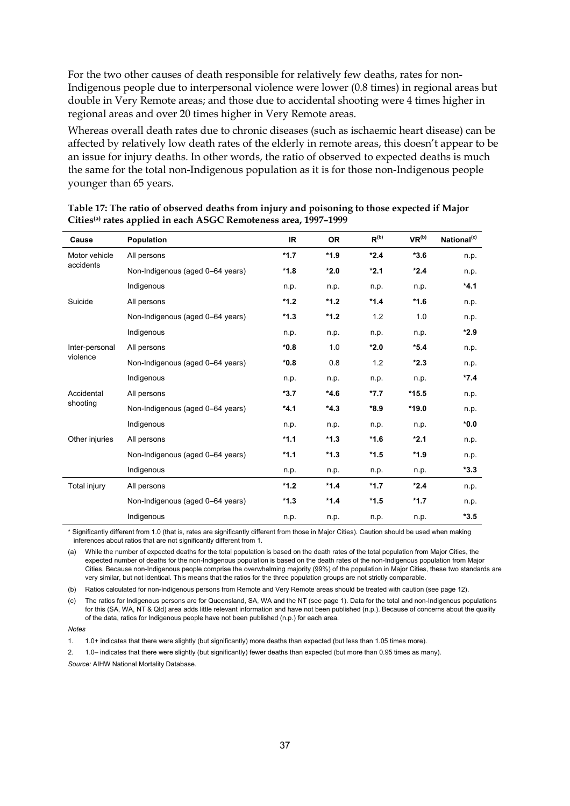For the two other causes of death responsible for relatively few deaths, rates for non-Indigenous people due to interpersonal violence were lower (0.8 times) in regional areas but double in Very Remote areas; and those due to accidental shooting were 4 times higher in regional areas and over 20 times higher in Very Remote areas.

Whereas overall death rates due to chronic diseases (such as ischaemic heart disease) can be affected by relatively low death rates of the elderly in remote areas, this doesn't appear to be an issue for injury deaths. In other words, the ratio of observed to expected deaths is much the same for the total non-Indigenous population as it is for those non-Indigenous people younger than 65 years.

| Cause                  | <b>Population</b>                | IR.    | <b>OR</b> | $R^{(b)}$ | VR <sup>(b)</sup> | National <sup>(c)</sup> |
|------------------------|----------------------------------|--------|-----------|-----------|-------------------|-------------------------|
| Motor vehicle          | All persons                      | $*1.7$ | $*1.9$    | $*2.4$    | $*3.6$            | n.p.                    |
| accidents              | Non-Indigenous (aged 0-64 years) | $*1.8$ | $*2.0$    | $*2.1$    | $*2.4$            | n.p.                    |
|                        | Indigenous                       | n.p.   | n.p.      | n.p.      | n.p.              | $*4.1$                  |
| Suicide                | All persons                      | $*1.2$ | $*1.2$    | $*1.4$    | $*1.6$            | n.p.                    |
|                        | Non-Indigenous (aged 0-64 years) | $*1.3$ | $*1.2$    | 1.2       | 1.0               | n.p.                    |
|                        | Indigenous                       | n.p.   | n.p.      | n.p.      | n.p.              | *2.9                    |
| Inter-personal         | All persons                      | $*0.8$ | 1.0       | $*2.0$    | $*5.4$            | n.p.                    |
| violence               | Non-Indigenous (aged 0-64 years) | $*0.8$ | 0.8       | 1.2       | $*2.3$            | n.p.                    |
|                        | Indigenous                       | n.p.   | n.p.      | n.p.      | n.p.              | $*7.4$                  |
| Accidental<br>shooting | All persons                      | $*3.7$ | $*4.6$    | $*7.7$    | $*15.5$           | n.p.                    |
|                        | Non-Indigenous (aged 0-64 years) | $*4.1$ | $*4.3$    | $*8.9$    | $*19.0$           | n.p.                    |
|                        | Indigenous                       | n.p.   | n.p.      | n.p.      | n.p.              | $*0.0*$                 |
| Other injuries         | All persons                      | $*1.1$ | $*1.3$    | $*1.6$    | $*2.1$            | n.p.                    |
|                        | Non-Indigenous (aged 0-64 years) | $*1.1$ | $*1.3$    | $*1.5$    | $*1.9$            | n.p.                    |
|                        | Indigenous                       | n.p.   | n.p.      | n.p.      | n.p.              | $*3.3$                  |
| Total injury           | All persons                      | $*1.2$ | $*1.4$    | $*1.7$    | $*2.4$            | n.p.                    |
|                        | Non-Indigenous (aged 0-64 years) | $*1.3$ | $*1.4$    | $*1.5$    | $*1.7$            | n.p.                    |
|                        | Indigenous                       | n.p.   | n.p.      | n.p.      | n.p.              | $*3.5$                  |

#### **Table 17: The ratio of observed deaths from injury and poisoning to those expected if Major Cities(a) rates applied in each ASGC Remoteness area, 1997–1999**

\* Significantly different from 1.0 (that is, rates are significantly different from those in Major Cities). Caution should be used when making inferences about ratios that are not significantly different from 1.

(a) While the number of expected deaths for the total population is based on the death rates of the total population from Major Cities, the expected number of deaths for the non-Indigenous population is based on the death rates of the non-Indigenous population from Major Cities. Because non-Indigenous people comprise the overwhelming majority (99%) of the population in Major Cities, these two standards are very similar, but not identical. This means that the ratios for the three population groups are not strictly comparable.

(b) Ratios calculated for non-Indigenous persons from Remote and Very Remote areas should be treated with caution (see page 12).

(c) The ratios for Indigenous persons are for Queensland, SA, WA and the NT (see page 1). Data for the total and non-Indigenous populations for this (SA, WA, NT & Qld) area adds little relevant information and have not been published (n.p.). Because of concerns about the quality of the data, ratios for Indigenous people have not been published (n.p.) for each area.

*Notes*

1. 1.0+ indicates that there were slightly (but significantly) more deaths than expected (but less than 1.05 times more).

2. 1.0– indicates that there were slightly (but significantly) fewer deaths than expected (but more than 0.95 times as many). *Source:* AIHW National Mortality Database.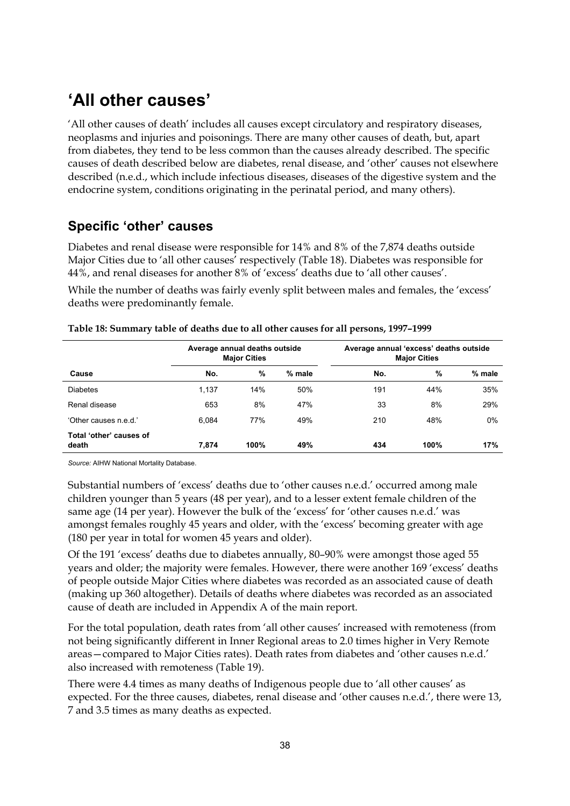### **'All other causes'**

'All other causes of death' includes all causes except circulatory and respiratory diseases, neoplasms and injuries and poisonings. There are many other causes of death, but, apart from diabetes, they tend to be less common than the causes already described. The specific causes of death described below are diabetes, renal disease, and 'other' causes not elsewhere described (n.e.d., which include infectious diseases, diseases of the digestive system and the endocrine system, conditions originating in the perinatal period, and many others).

#### **Specific 'other' causes**

Diabetes and renal disease were responsible for 14% and 8% of the 7,874 deaths outside Major Cities due to 'all other causes' respectively (Table 18). Diabetes was responsible for 44%, and renal diseases for another 8% of 'excess' deaths due to 'all other causes'.

While the number of deaths was fairly evenly split between males and females, the 'excess' deaths were predominantly female.

|                                  | Average annual deaths outside<br><b>Major Cities</b> |      |          | Average annual 'excess' deaths outside<br><b>Major Cities</b> |      |        |  |
|----------------------------------|------------------------------------------------------|------|----------|---------------------------------------------------------------|------|--------|--|
| Cause                            | No.                                                  | %    | $%$ male | No.                                                           | %    | % male |  |
| <b>Diabetes</b>                  | 1,137                                                | 14%  | 50%      | 191                                                           | 44%  | 35%    |  |
| Renal disease                    | 653                                                  | 8%   | 47%      | 33                                                            | 8%   | 29%    |  |
| 'Other causes n.e.d.'            | 6.084                                                | 77%  | 49%      | 210                                                           | 48%  | $0\%$  |  |
| Total 'other' causes of<br>death | 7.874                                                | 100% | 49%      | 434                                                           | 100% | 17%    |  |

|  |  | Table 18: Summary table of deaths due to all other causes for all persons, 1997-1999 |
|--|--|--------------------------------------------------------------------------------------|
|  |  |                                                                                      |

*Source:* AIHW National Mortality Database.

Substantial numbers of 'excess' deaths due to 'other causes n.e.d.' occurred among male children younger than 5 years (48 per year), and to a lesser extent female children of the same age (14 per year). However the bulk of the 'excess' for 'other causes n.e.d.' was amongst females roughly 45 years and older, with the 'excess' becoming greater with age (180 per year in total for women 45 years and older).

Of the 191 'excess' deaths due to diabetes annually, 80–90% were amongst those aged 55 years and older; the majority were females. However, there were another 169 'excess' deaths of people outside Major Cities where diabetes was recorded as an associated cause of death (making up 360 altogether). Details of deaths where diabetes was recorded as an associated cause of death are included in Appendix A of the main report.

For the total population, death rates from 'all other causes' increased with remoteness (from not being significantly different in Inner Regional areas to 2.0 times higher in Very Remote areas—compared to Major Cities rates). Death rates from diabetes and 'other causes n.e.d.' also increased with remoteness (Table 19).

There were 4.4 times as many deaths of Indigenous people due to 'all other causes' as expected. For the three causes, diabetes, renal disease and 'other causes n.e.d.', there were 13, 7 and 3.5 times as many deaths as expected.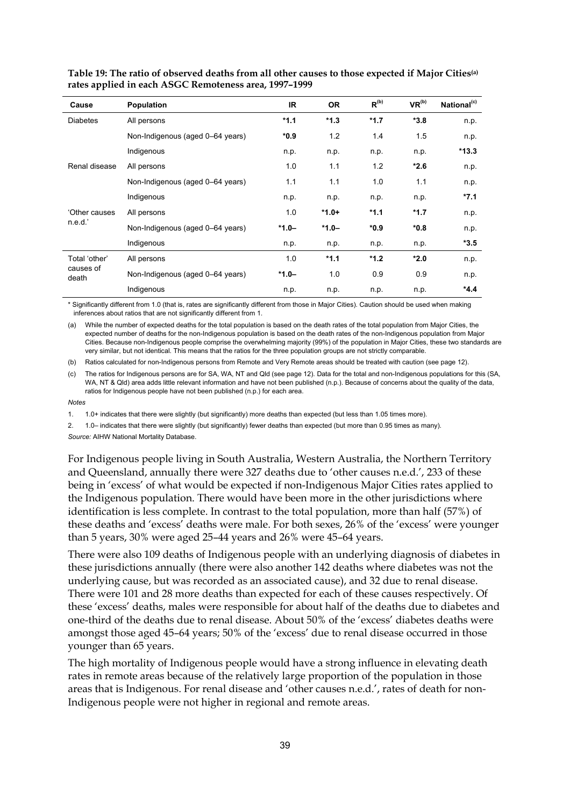| Cause                               | <b>Population</b>                | IR.     | <b>OR</b> | $R^{(b)}$ | VR <sup>(b)</sup> | National <sup>(c)</sup> |
|-------------------------------------|----------------------------------|---------|-----------|-----------|-------------------|-------------------------|
| <b>Diabetes</b>                     | All persons                      | $*1.1$  | $*1.3$    | $*1.7$    | $*3.8$            | n.p.                    |
|                                     | Non-Indigenous (aged 0-64 years) | $*0.9$  | 1.2       | 1.4       | 1.5               | n.p.                    |
|                                     | Indigenous                       | n.p.    | n.p.      | n.p.      | n.p.              | $*13.3$                 |
| Renal disease                       | All persons                      | 1.0     | 1.1       | 1.2       | $*2.6$            | n.p.                    |
|                                     | Non-Indigenous (aged 0-64 years) | 1.1     | 1.1       | 1.0       | 1.1               | n.p.                    |
|                                     | Indigenous                       | n.p.    | n.p.      | n.p.      | n.p.              | $*7.1$                  |
| 'Other causes                       | All persons                      | 1.0     | $*1.0+$   | $*1.1$    | $*1.7$            | n.p.                    |
| n.e.d.'                             | Non-Indigenous (aged 0-64 years) | $*1.0-$ | $*1.0-$   | *0.9      | $*0.8$            | n.p.                    |
|                                     | Indigenous                       | n.p.    | n.p.      | n.p.      | n.p.              | $*3.5$                  |
| Total 'other'<br>causes of<br>death | All persons                      | 1.0     | $*1.1$    | $*1.2$    | $*2.0$            | n.p.                    |
|                                     | Non-Indigenous (aged 0-64 years) | $*1.0-$ | 1.0       | 0.9       | 0.9               | n.p.                    |
|                                     | Indigenous                       | n.p.    | n.p.      | n.p.      | n.p.              | $*4.4$                  |

**Table 19: The ratio of observed deaths from all other causes to those expected if Major Cities(a) rates applied in each ASGC Remoteness area, 1997–1999**

\* Significantly different from 1.0 (that is, rates are significantly different from those in Major Cities). Caution should be used when making inferences about ratios that are not significantly different from 1.

(a) While the number of expected deaths for the total population is based on the death rates of the total population from Major Cities, the expected number of deaths for the non-Indigenous population is based on the death rates of the non-Indigenous population from Major Cities. Because non-Indigenous people comprise the overwhelming majority (99%) of the population in Major Cities, these two standards are very similar, but not identical. This means that the ratios for the three population groups are not strictly comparable.

(b) Ratios calculated for non-Indigenous persons from Remote and Very Remote areas should be treated with caution (see page 12).

(c) The ratios for Indigenous persons are for SA, WA, NT and Qld (see page 12). Data for the total and non-Indigenous populations for this (SA, WA, NT & Qld) area adds little relevant information and have not been published (n.p.). Because of concerns about the quality of the data, ratios for Indigenous people have not been published (n.p.) for each area.

*Notes*

1. 1.0+ indicates that there were slightly (but significantly) more deaths than expected (but less than 1.05 times more).

2. 1.0– indicates that there were slightly (but significantly) fewer deaths than expected (but more than 0.95 times as many).

*Source:* AIHW National Mortality Database.

For Indigenous people living in South Australia, Western Australia, the Northern Territory and Queensland, annually there were 327 deaths due to 'other causes n.e.d.', 233 of these being in 'excess' of what would be expected if non-Indigenous Major Cities rates applied to the Indigenous population. There would have been more in the other jurisdictions where identification is less complete. In contrast to the total population, more than half (57%) of these deaths and 'excess' deaths were male. For both sexes, 26% of the 'excess' were younger than 5 years, 30% were aged 25–44 years and 26% were 45–64 years.

There were also 109 deaths of Indigenous people with an underlying diagnosis of diabetes in these jurisdictions annually (there were also another 142 deaths where diabetes was not the underlying cause, but was recorded as an associated cause), and 32 due to renal disease. There were 101 and 28 more deaths than expected for each of these causes respectively. Of these 'excess' deaths, males were responsible for about half of the deaths due to diabetes and one-third of the deaths due to renal disease. About 50% of the 'excess' diabetes deaths were amongst those aged 45–64 years; 50% of the 'excess' due to renal disease occurred in those younger than 65 years.

The high mortality of Indigenous people would have a strong influence in elevating death rates in remote areas because of the relatively large proportion of the population in those areas that is Indigenous. For renal disease and 'other causes n.e.d.', rates of death for non-Indigenous people were not higher in regional and remote areas.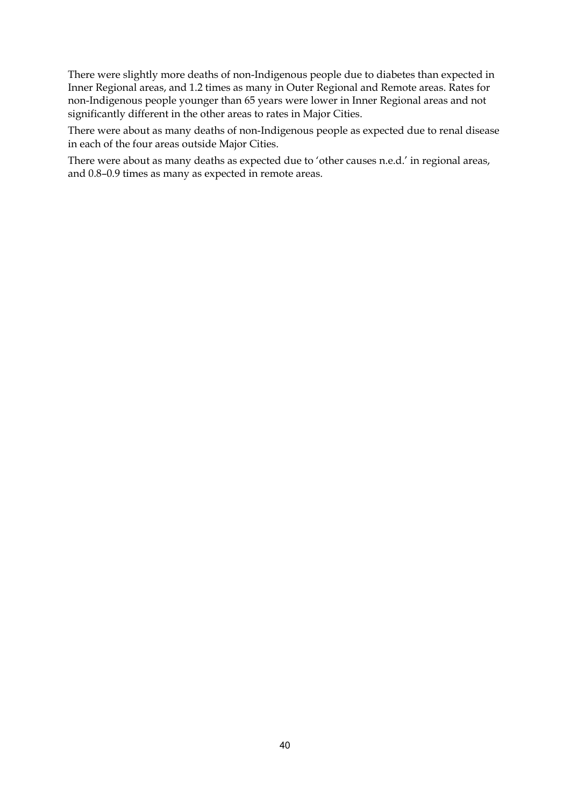There were slightly more deaths of non-Indigenous people due to diabetes than expected in Inner Regional areas, and 1.2 times as many in Outer Regional and Remote areas. Rates for non-Indigenous people younger than 65 years were lower in Inner Regional areas and not significantly different in the other areas to rates in Major Cities.

There were about as many deaths of non-Indigenous people as expected due to renal disease in each of the four areas outside Major Cities.

There were about as many deaths as expected due to 'other causes n.e.d.' in regional areas, and 0.8–0.9 times as many as expected in remote areas.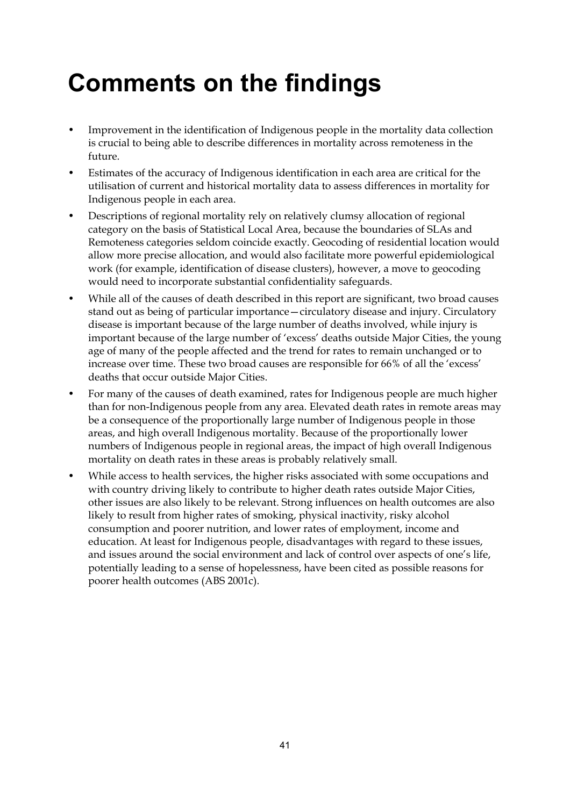## **Comments on the findings**

- Improvement in the identification of Indigenous people in the mortality data collection is crucial to being able to describe differences in mortality across remoteness in the future.
- Estimates of the accuracy of Indigenous identification in each area are critical for the utilisation of current and historical mortality data to assess differences in mortality for Indigenous people in each area.
- Descriptions of regional mortality rely on relatively clumsy allocation of regional category on the basis of Statistical Local Area, because the boundaries of SLAs and Remoteness categories seldom coincide exactly. Geocoding of residential location would allow more precise allocation, and would also facilitate more powerful epidemiological work (for example, identification of disease clusters), however, a move to geocoding would need to incorporate substantial confidentiality safeguards.
- While all of the causes of death described in this report are significant, two broad causes stand out as being of particular importance—circulatory disease and injury. Circulatory disease is important because of the large number of deaths involved, while injury is important because of the large number of 'excess' deaths outside Major Cities, the young age of many of the people affected and the trend for rates to remain unchanged or to increase over time. These two broad causes are responsible for 66% of all the 'excess' deaths that occur outside Major Cities.
- For many of the causes of death examined, rates for Indigenous people are much higher than for non-Indigenous people from any area. Elevated death rates in remote areas may be a consequence of the proportionally large number of Indigenous people in those areas, and high overall Indigenous mortality. Because of the proportionally lower numbers of Indigenous people in regional areas, the impact of high overall Indigenous mortality on death rates in these areas is probably relatively small.
- While access to health services, the higher risks associated with some occupations and with country driving likely to contribute to higher death rates outside Major Cities, other issues are also likely to be relevant. Strong influences on health outcomes are also likely to result from higher rates of smoking, physical inactivity, risky alcohol consumption and poorer nutrition, and lower rates of employment, income and education. At least for Indigenous people, disadvantages with regard to these issues, and issues around the social environment and lack of control over aspects of one's life, potentially leading to a sense of hopelessness, have been cited as possible reasons for poorer health outcomes (ABS 2001c).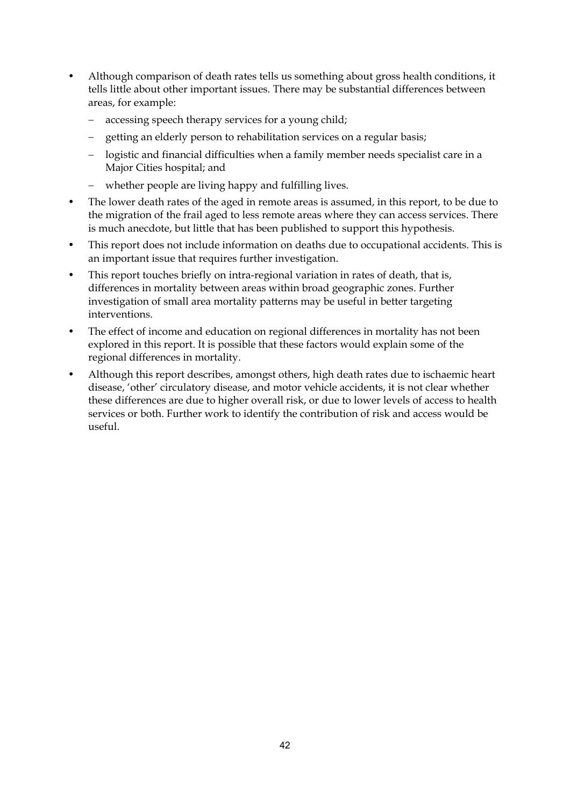- Although comparison of death rates tells us something about gross health conditions, it tells little about other important issues. There may be substantial differences between areas, for example:
	- accessing speech therapy services for a young child;
	- getting an elderly person to rehabilitation services on a regular basis;
	- logistic and financial difficulties when a family member needs specialist care in a Major Cities hospital; and
	- $$ whether people are living happy and fulfilling lives.
- The lower death rates of the aged in remote areas is assumed, in this report, to be due to the migration of the frail aged to less remote areas where they can access services. There is much anecdote, but little that has been published to support this hypothesis.
- This report does not include information on deaths due to occupational accidents. This is an important issue that requires further investigation.
- This report touches briefly on intra-regional variation in rates of death, that is, differences in mortality between areas within broad geographic zones. Further investigation of small area mortality patterns may be useful in better targeting interventions.
- The effect of income and education on regional differences in mortality has not been explored in this report. It is possible that these factors would explain some of the regional differences in mortality.
- Although this report describes, amongst others, high death rates due to ischaemic heart disease, 'other' circulatory disease, and motor vehicle accidents, it is not clear whether these differences are due to higher overall risk, or due to lower levels of access to health services or both. Further work to identify the contribution of risk and access would be useful.